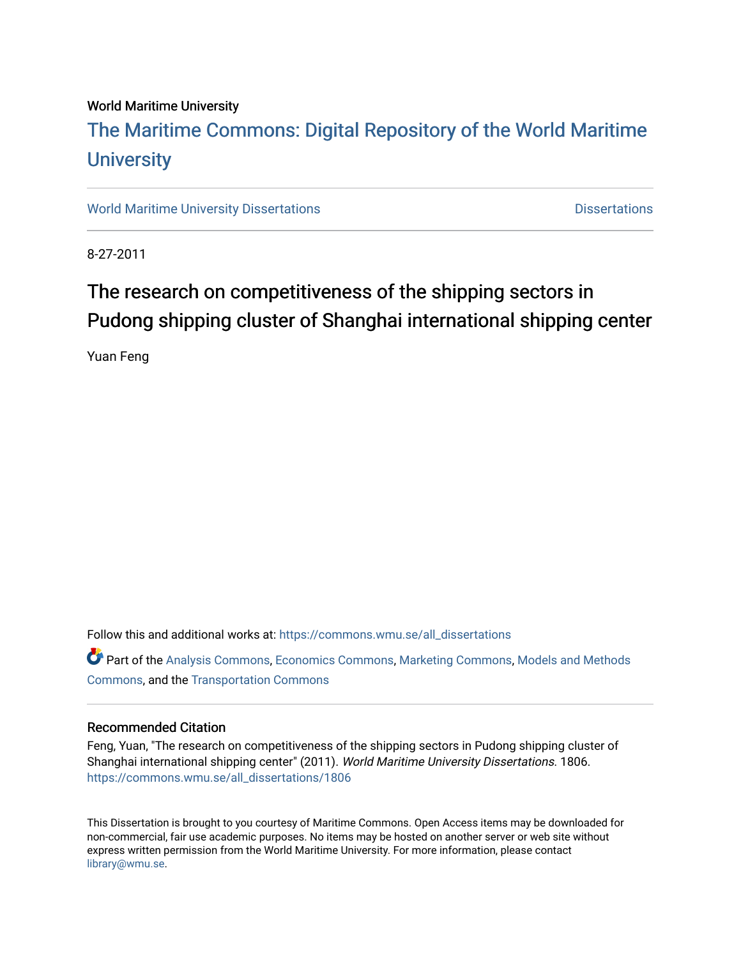#### World Maritime University

## [The Maritime Commons: Digital Repository of the World Maritime](https://commons.wmu.se/)  **University**

[World Maritime University Dissertations](https://commons.wmu.se/all_dissertations) **Distributions** [Dissertations](https://commons.wmu.se/dissertations) Dissertations

8-27-2011

## The research on competitiveness of the shipping sectors in Pudong shipping cluster of Shanghai international shipping center

Yuan Feng

Follow this and additional works at: [https://commons.wmu.se/all\\_dissertations](https://commons.wmu.se/all_dissertations?utm_source=commons.wmu.se%2Fall_dissertations%2F1806&utm_medium=PDF&utm_campaign=PDFCoverPages) 

Part of the [Analysis Commons](http://network.bepress.com/hgg/discipline/177?utm_source=commons.wmu.se%2Fall_dissertations%2F1806&utm_medium=PDF&utm_campaign=PDFCoverPages), [Economics Commons,](http://network.bepress.com/hgg/discipline/340?utm_source=commons.wmu.se%2Fall_dissertations%2F1806&utm_medium=PDF&utm_campaign=PDFCoverPages) [Marketing Commons](http://network.bepress.com/hgg/discipline/638?utm_source=commons.wmu.se%2Fall_dissertations%2F1806&utm_medium=PDF&utm_campaign=PDFCoverPages), [Models and Methods](http://network.bepress.com/hgg/discipline/390?utm_source=commons.wmu.se%2Fall_dissertations%2F1806&utm_medium=PDF&utm_campaign=PDFCoverPages) [Commons](http://network.bepress.com/hgg/discipline/390?utm_source=commons.wmu.se%2Fall_dissertations%2F1806&utm_medium=PDF&utm_campaign=PDFCoverPages), and the [Transportation Commons](http://network.bepress.com/hgg/discipline/1068?utm_source=commons.wmu.se%2Fall_dissertations%2F1806&utm_medium=PDF&utm_campaign=PDFCoverPages)

#### Recommended Citation

Feng, Yuan, "The research on competitiveness of the shipping sectors in Pudong shipping cluster of Shanghai international shipping center" (2011). World Maritime University Dissertations. 1806. [https://commons.wmu.se/all\\_dissertations/1806](https://commons.wmu.se/all_dissertations/1806?utm_source=commons.wmu.se%2Fall_dissertations%2F1806&utm_medium=PDF&utm_campaign=PDFCoverPages)

This Dissertation is brought to you courtesy of Maritime Commons. Open Access items may be downloaded for non-commercial, fair use academic purposes. No items may be hosted on another server or web site without express written permission from the World Maritime University. For more information, please contact [library@wmu.se](mailto:library@wmu.edu).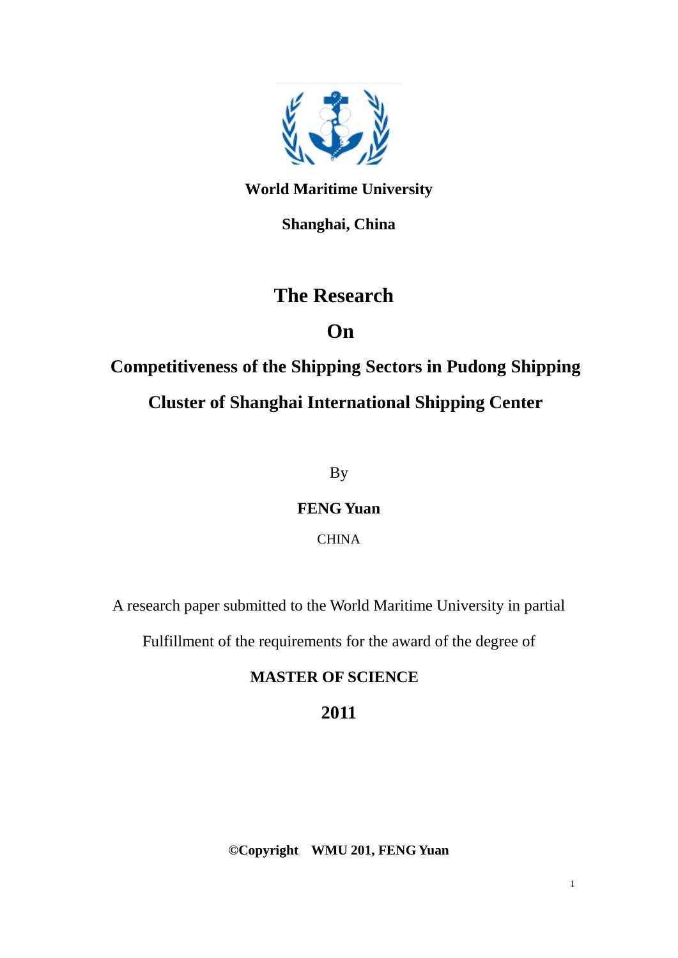

**World Maritime University**

**Shanghai, China**

## **The Research**

## **On**

# **Competitiveness of the Shipping Sectors in Pudong Shipping Cluster of Shanghai International Shipping Center**

By

**FENG Yuan**

**CHINA** 

A research paper submitted to the World Maritime University in partial

Fulfillment of the requirements for the award of the degree of

## **MASTER OF SCIENCE**

## **2011**

**©Copyright WMU 201, FENG Yuan**

1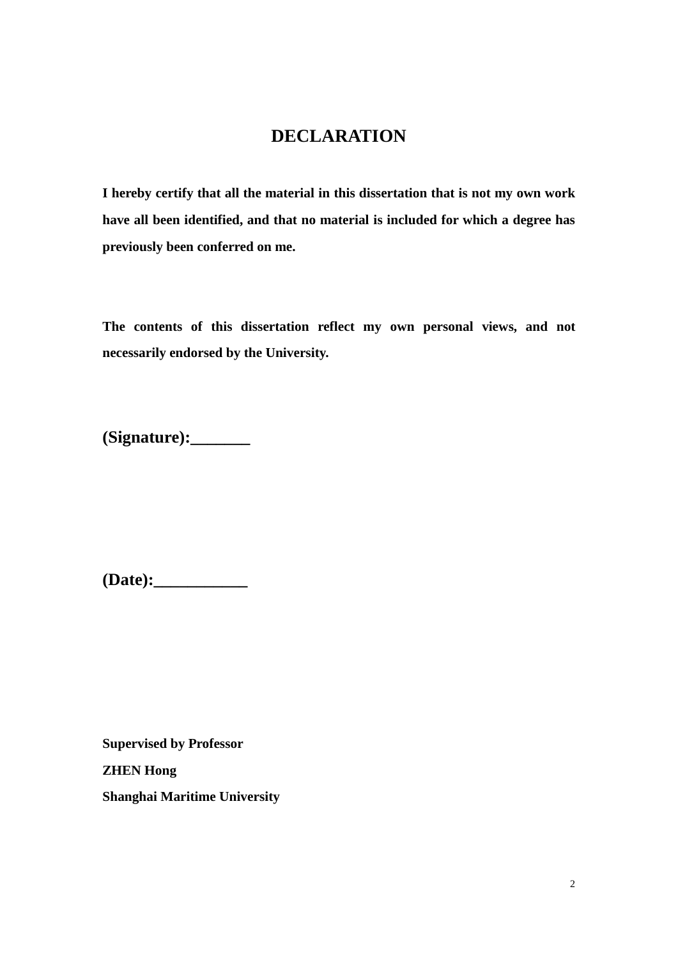## **DECLARATION**

**I hereby certify that all the material in this dissertation that is not my own work have all been identified, and that no material is included for which a degree has previously been conferred on me.** 

**The contents of this dissertation reflect my own personal views, and not necessarily endorsed by the University.** 

**(Signature):\_\_\_\_\_\_\_** 

**(Date):\_\_\_\_\_\_\_\_\_\_\_** 

**Supervised by Professor ZHEN Hong Shanghai Maritime University**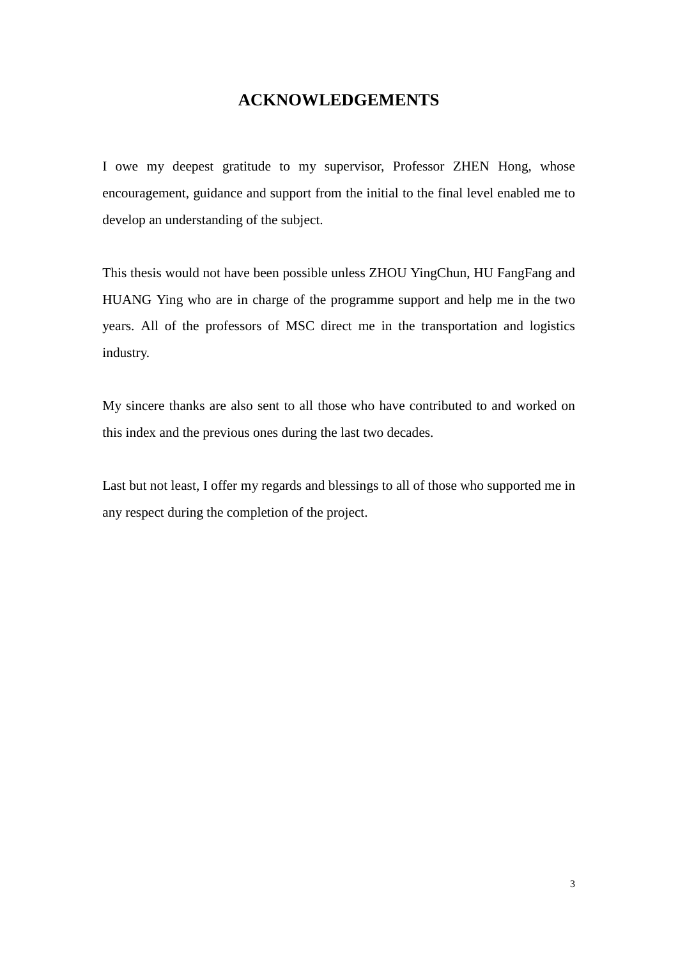### **ACKNOWLEDGEMENTS**

I owe my deepest gratitude to my supervisor, Professor ZHEN Hong, whose encouragement, guidance and support from the initial to the final level enabled me to develop an understanding of the subject.

This thesis would not have been possible unless ZHOU YingChun, HU FangFang and HUANG Ying who are in charge of the programme support and help me in the two years. All of the professors of MSC direct me in the transportation and logistics industry.

My sincere thanks are also sent to all those who have contributed to and worked on this index and the previous ones during the last two decades.

Last but not least, I offer my regards and blessings to all of those who supported me in any respect during the completion of the project.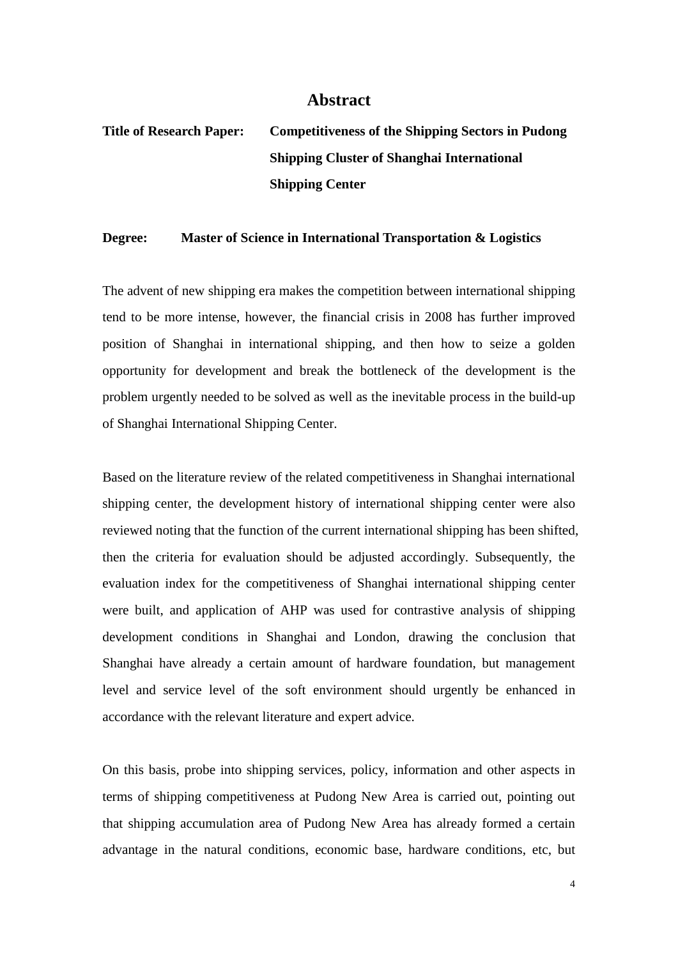#### **Abstract**

## **Title of Research Paper: Competitiveness of the Shipping Sectors in Pudong Shipping Cluster of Shanghai International Shipping Center**

#### **Degree: Master of Science in International Transportation & Logistics**

The advent of new shipping era makes the competition between international shipping tend to be more intense, however, the financial crisis in 2008 has further improved position of Shanghai in international shipping, and then how to seize a golden opportunity for development and break the bottleneck of the development is the problem urgently needed to be solved as well as the inevitable process in the build-up of Shanghai International Shipping Center.

Based on the literature review of the related competitiveness in Shanghai international shipping center, the development history of international shipping center were also reviewed noting that the function of the current international shipping has been shifted, then the criteria for evaluation should be adjusted accordingly. Subsequently, the evaluation index for the competitiveness of Shanghai international shipping center were built, and application of AHP was used for contrastive analysis of shipping development conditions in Shanghai and London, drawing the conclusion that Shanghai have already a certain amount of hardware foundation, but management level and service level of the soft environment should urgently be enhanced in accordance with the relevant literature and expert advice.

On this basis, probe into shipping services, policy, information and other aspects in terms of shipping competitiveness at Pudong New Area is carried out, pointing out that shipping accumulation area of Pudong New Area has already formed a certain advantage in the natural conditions, economic base, hardware conditions, etc, but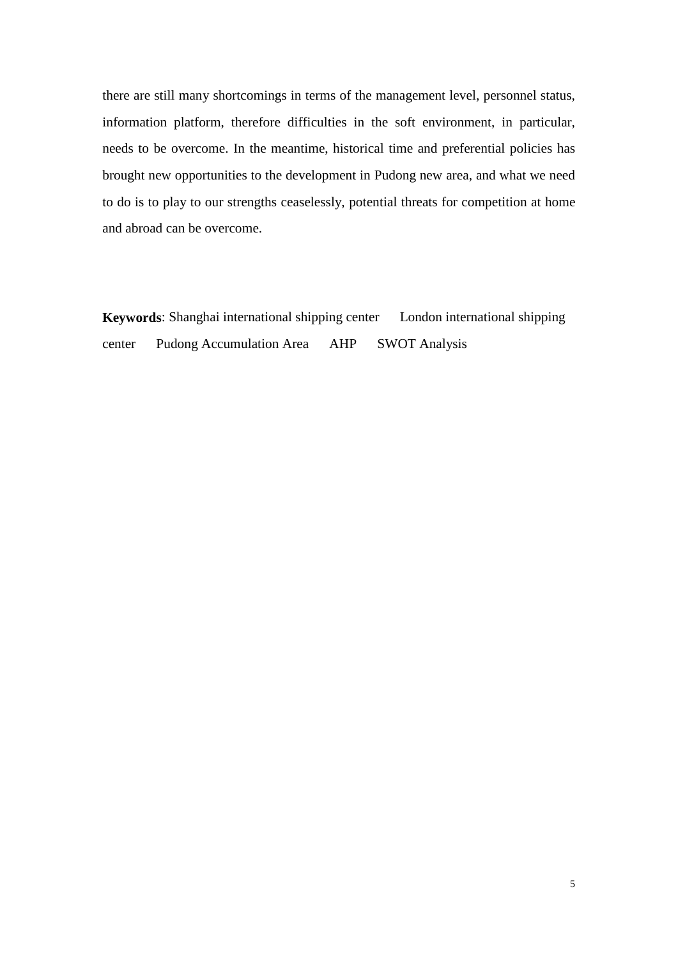there are still many shortcomings in terms of the management level, personnel status, information platform, therefore difficulties in the soft environment, in particular, needs to be overcome. In the meantime, historical time and preferential policies has brought new opportunities to the development in Pudong new area, and what we need to do is to play to our strengths ceaselessly, potential threats for competition at home and abroad can be overcome.

**Keywords**: Shanghai international shipping center London international shipping center Pudong Accumulation Area AHP SWOT Analysis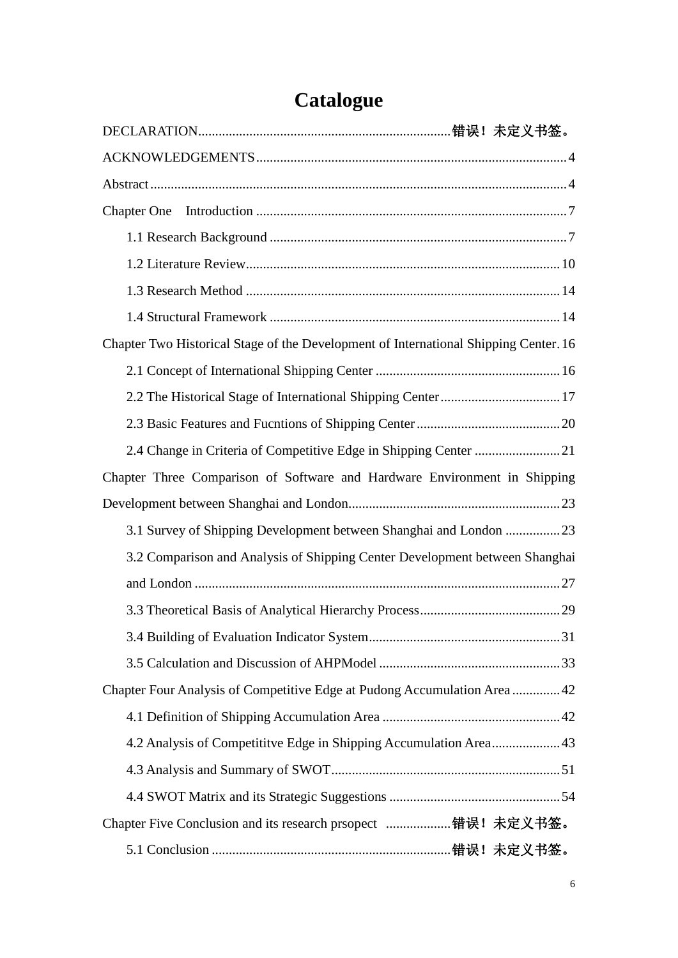| <b>Chapter One</b>                                                                   |
|--------------------------------------------------------------------------------------|
|                                                                                      |
|                                                                                      |
|                                                                                      |
|                                                                                      |
| Chapter Two Historical Stage of the Development of International Shipping Center. 16 |
|                                                                                      |
|                                                                                      |
|                                                                                      |
|                                                                                      |
| Chapter Three Comparison of Software and Hardware Environment in Shipping            |
|                                                                                      |
| 3.1 Survey of Shipping Development between Shanghai and London 23                    |
| 3.2 Comparison and Analysis of Shipping Center Development between Shanghai          |
|                                                                                      |
|                                                                                      |
|                                                                                      |
|                                                                                      |
| Chapter Four Analysis of Competitive Edge at Pudong Accumulation Area  42            |
|                                                                                      |
| 4.2 Analysis of Competititve Edge in Shipping Accumulation Area 43                   |
|                                                                                      |
|                                                                                      |
| Chapter Five Conclusion and its research prsopect 错误! 未定义书签。                         |
|                                                                                      |

# **Catalogue**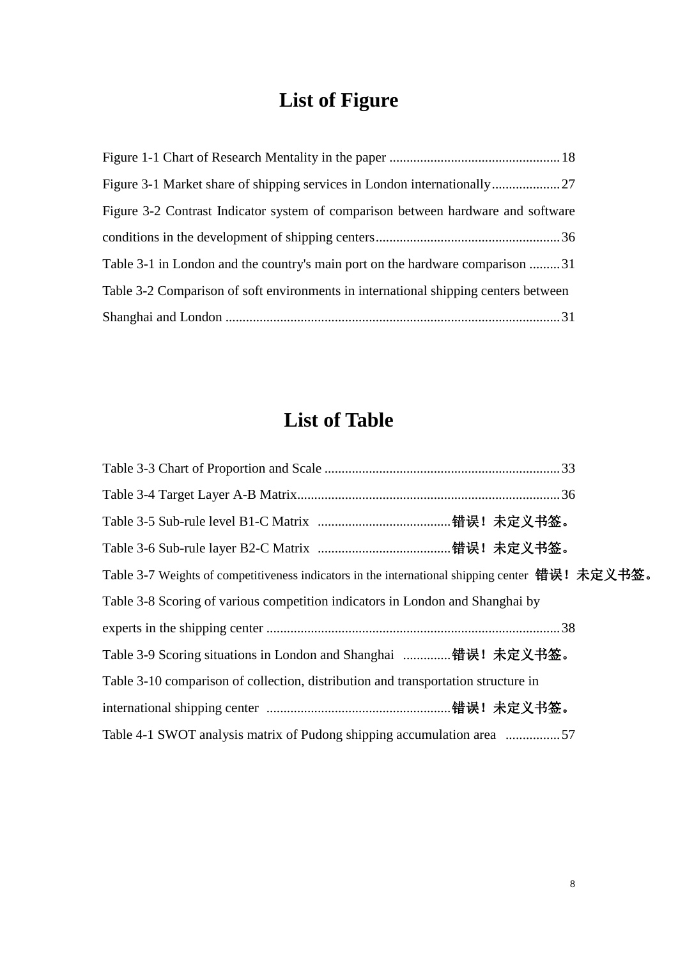# **List of Figure**

| Figure 3-2 Contrast Indicator system of comparison between hardware and software    |
|-------------------------------------------------------------------------------------|
|                                                                                     |
| Table 3-1 in London and the country's main port on the hardware comparison 31       |
| Table 3-2 Comparison of soft environments in international shipping centers between |
|                                                                                     |

## **List of Table**

| Table 3-7 Weights of competitiveness indicators in the international shipping center 错误! 未定义书签。 |  |
|-------------------------------------------------------------------------------------------------|--|
| Table 3-8 Scoring of various competition indicators in London and Shanghai by                   |  |
|                                                                                                 |  |
| Table 3-9 Scoring situations in London and Shanghai 错误! 未定义书签。                                  |  |
| Table 3-10 comparison of collection, distribution and transportation structure in               |  |
|                                                                                                 |  |
| Table 4-1 SWOT analysis matrix of Pudong shipping accumulation area 57                          |  |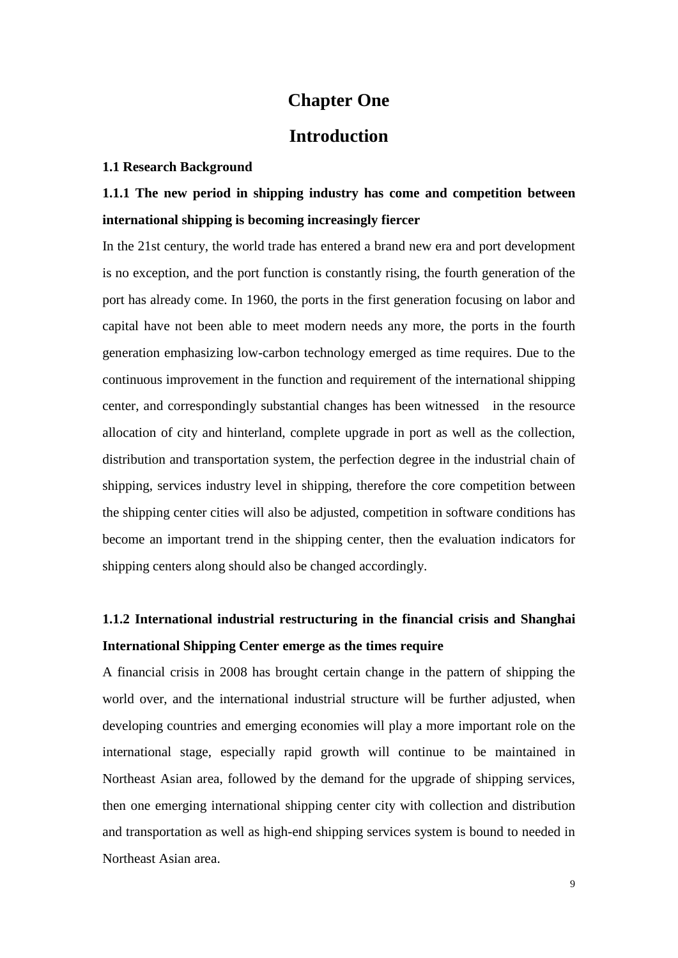### **Chapter One**

### **Introduction**

#### **1.1 Research Background**

## **1.1.1 The new period in shipping industry has come and competition between international shipping is becoming increasingly fiercer**

In the 21st century, the world trade has entered a brand new era and port development is no exception, and the port function is constantly rising, the fourth generation of the port has already come. In 1960, the ports in the first generation focusing on labor and capital have not been able to meet modern needs any more, the ports in the fourth generation emphasizing low-carbon technology emerged as time requires. Due to the continuous improvement in the function and requirement of the international shipping center, and correspondingly substantial changes has been witnessed in the resource allocation of city and hinterland, complete upgrade in port as well as the collection, distribution and transportation system, the perfection degree in the industrial chain of shipping, services industry level in shipping, therefore the core competition between the shipping center cities will also be adjusted, competition in software conditions has become an important trend in the shipping center, then the evaluation indicators for shipping centers along should also be changed accordingly.

## **1.1.2 International industrial restructuring in the financial crisis and Shanghai International Shipping Center emerge as the times require**

A financial crisis in 2008 has brought certain change in the pattern of shipping the world over, and the international industrial structure will be further adjusted, when developing countries and emerging economies will play a more important role on the international stage, especially rapid growth will continue to be maintained in Northeast Asian area, followed by the demand for the upgrade of shipping services, then one emerging international shipping center city with collection and distribution and transportation as well as high-end shipping services system is bound to needed in Northeast Asian area.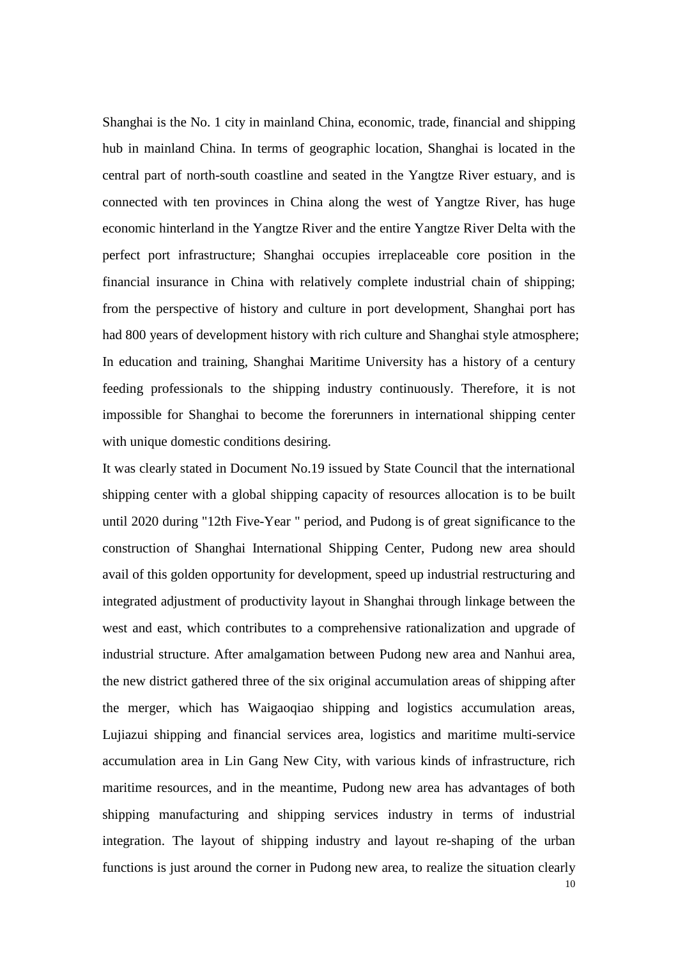Shanghai is the No. 1 city in mainland China, economic, trade, financial and shipping hub in mainland China. In terms of geographic location, Shanghai is located in the central part of north-south coastline and seated in the Yangtze River estuary, and is connected with ten provinces in China along the west of Yangtze River, has huge economic hinterland in the Yangtze River and the entire Yangtze River Delta with the perfect port infrastructure; Shanghai occupies irreplaceable core position in the financial insurance in China with relatively complete industrial chain of shipping; from the perspective of history and culture in port development, Shanghai port has had 800 years of development history with rich culture and Shanghai style atmosphere; In education and training, Shanghai Maritime University has a history of a century feeding professionals to the shipping industry continuously. Therefore, it is not impossible for Shanghai to become the forerunners in international shipping center with unique domestic conditions desiring.

It was clearly stated in Document No.19 issued by State Council that the international shipping center with a global shipping capacity of resources allocation is to be built until 2020 during "12th Five-Year " period, and Pudong is of great significance to the construction of Shanghai International Shipping Center, Pudong new area should avail of this golden opportunity for development, speed up industrial restructuring and integrated adjustment of productivity layout in Shanghai through linkage between the west and east, which contributes to a comprehensive rationalization and upgrade of industrial structure. After amalgamation between Pudong new area and Nanhui area, the new district gathered three of the six original accumulation areas of shipping after the merger, which has Waigaoqiao shipping and logistics accumulation areas, Lujiazui shipping and financial services area, logistics and maritime multi-service accumulation area in Lin Gang New City, with various kinds of infrastructure, rich maritime resources, and in the meantime, Pudong new area has advantages of both shipping manufacturing and shipping services industry in terms of industrial integration. The layout of shipping industry and layout re-shaping of the urban functions is just around the corner in Pudong new area, to realize the situation clearly

10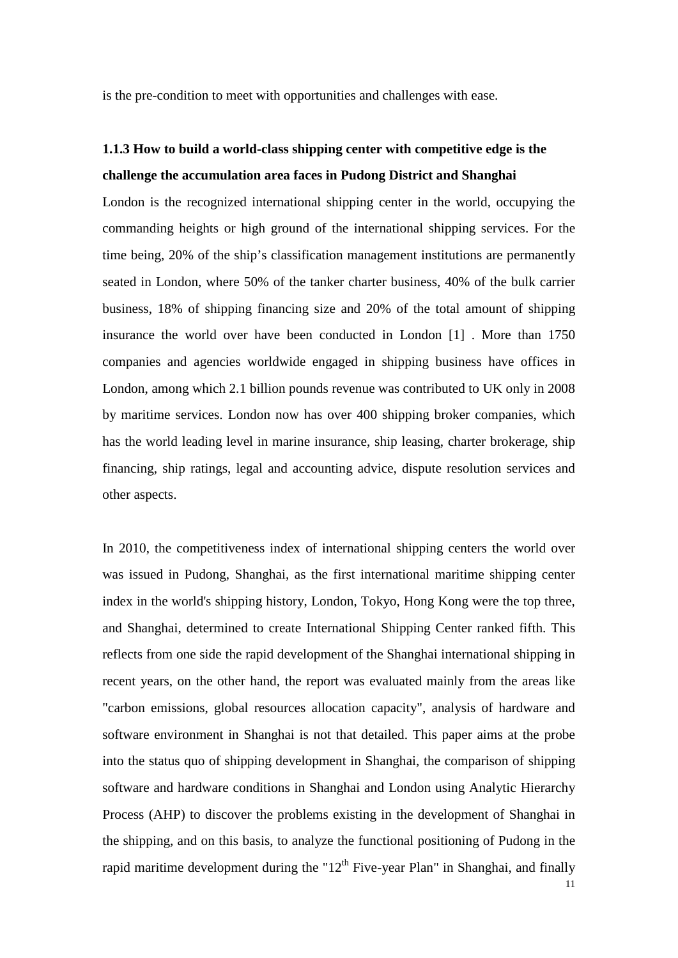is the pre-condition to meet with opportunities and challenges with ease.

## **1.1.3 How to build a world-class shipping center with competitive edge is the challenge the accumulation area faces in Pudong District and Shanghai**

London is the recognized international shipping center in the world, occupying the commanding heights or high ground of the international shipping services. For the time being, 20% of the ship's classification management institutions are permanently seated in London, where 50% of the tanker charter business, 40% of the bulk carrier business, 18% of shipping financing size and 20% of the total amount of shipping insurance the world over have been conducted in London [1] . More than 1750 companies and agencies worldwide engaged in shipping business have offices in London, among which 2.1 billion pounds revenue was contributed to UK only in 2008 by maritime services. London now has over 400 shipping broker companies, which has the world leading level in marine insurance, ship leasing, charter brokerage, ship financing, ship ratings, legal and accounting advice, dispute resolution services and other aspects.

In 2010, the competitiveness index of international shipping centers the world over was issued in Pudong, Shanghai, as the first international maritime shipping center index in the world's shipping history, London, Tokyo, Hong Kong were the top three, and Shanghai, determined to create International Shipping Center ranked fifth. This reflects from one side the rapid development of the Shanghai international shipping in recent years, on the other hand, the report was evaluated mainly from the areas like "carbon emissions, global resources allocation capacity", analysis of hardware and software environment in Shanghai is not that detailed. This paper aims at the probe into the status quo of shipping development in Shanghai, the comparison of shipping software and hardware conditions in Shanghai and London using Analytic Hierarchy Process (AHP) to discover the problems existing in the development of Shanghai in the shipping, and on this basis, to analyze the functional positioning of Pudong in the rapid maritime development during the " $12<sup>th</sup>$  Five-year Plan" in Shanghai, and finally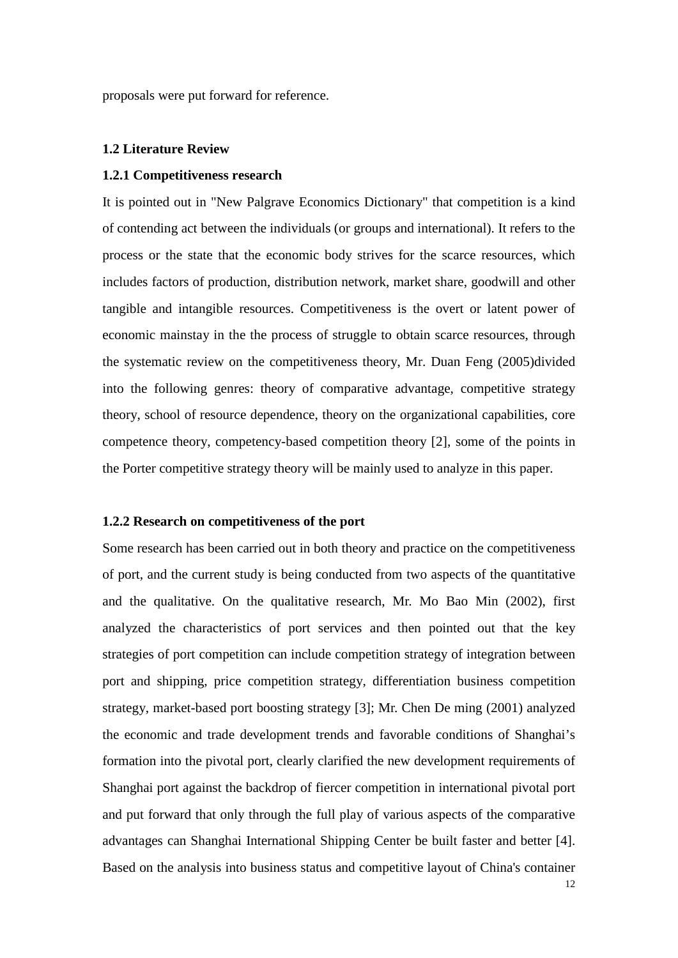proposals were put forward for reference.

#### **1.2 Literature Review**

#### **1.2.1 Competitiveness research**

It is pointed out in "New Palgrave Economics Dictionary" that competition is a kind of contending act between the individuals (or groups and international). It refers to the process or the state that the economic body strives for the scarce resources, which includes factors of production, distribution network, market share, goodwill and other tangible and intangible resources. Competitiveness is the overt or latent power of economic mainstay in the the process of struggle to obtain scarce resources, through the systematic review on the competitiveness theory, Mr. Duan Feng (2005)divided into the following genres: theory of comparative advantage, competitive strategy theory, school of resource dependence, theory on the organizational capabilities, core competence theory, competency-based competition theory [2], some of the points in the Porter competitive strategy theory will be mainly used to analyze in this paper.

#### **1.2.2 Research on competitiveness of the port**

Some research has been carried out in both theory and practice on the competitiveness of port, and the current study is being conducted from two aspects of the quantitative and the qualitative. On the qualitative research, Mr. Mo Bao Min (2002), first analyzed the characteristics of port services and then pointed out that the key strategies of port competition can include competition strategy of integration between port and shipping, price competition strategy, differentiation business competition strategy, market-based port boosting strategy [3]; Mr. Chen De ming (2001) analyzed the economic and trade development trends and favorable conditions of Shanghai's formation into the pivotal port, clearly clarified the new development requirements of Shanghai port against the backdrop of fiercer competition in international pivotal port and put forward that only through the full play of various aspects of the comparative advantages can Shanghai International Shipping Center be built faster and better [4]. Based on the analysis into business status and competitive layout of China's container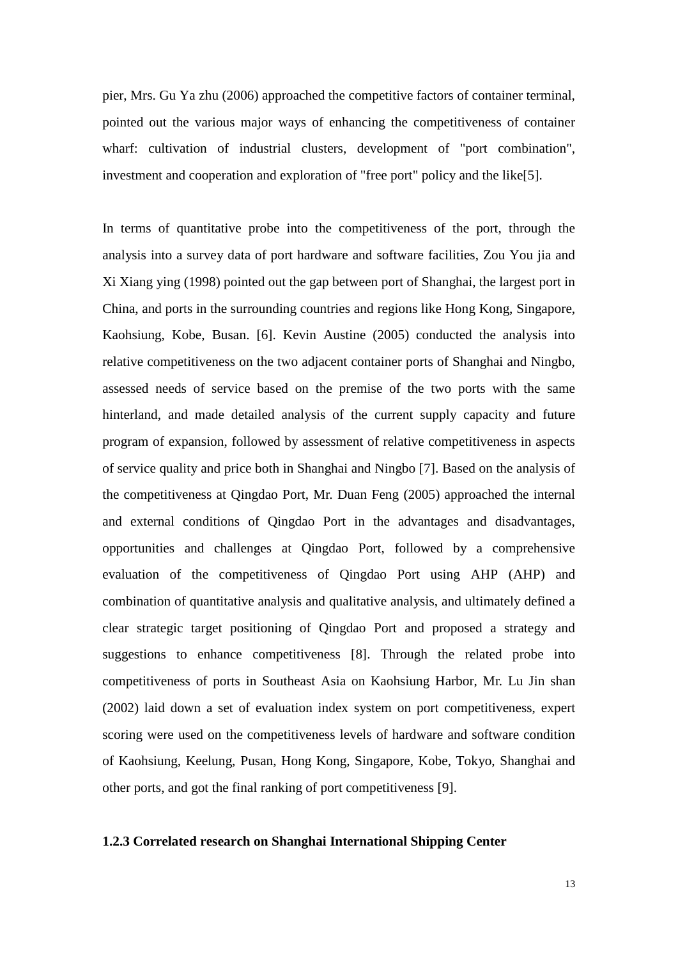pier, Mrs. Gu Ya zhu (2006) approached the competitive factors of container terminal, pointed out the various major ways of enhancing the competitiveness of container wharf: cultivation of industrial clusters, development of "port combination", investment and cooperation and exploration of "free port" policy and the like[5].

In terms of quantitative probe into the competitiveness of the port, through the analysis into a survey data of port hardware and software facilities, Zou You jia and Xi Xiang ying (1998) pointed out the gap between port of Shanghai, the largest port in China, and ports in the surrounding countries and regions like Hong Kong, Singapore, Kaohsiung, Kobe, Busan. [6]. Kevin Austine (2005) conducted the analysis into relative competitiveness on the two adjacent container ports of Shanghai and Ningbo, assessed needs of service based on the premise of the two ports with the same hinterland, and made detailed analysis of the current supply capacity and future program of expansion, followed by assessment of relative competitiveness in aspects of service quality and price both in Shanghai and Ningbo [7]. Based on the analysis of the competitiveness at Qingdao Port, Mr. Duan Feng (2005) approached the internal and external conditions of Qingdao Port in the advantages and disadvantages, opportunities and challenges at Qingdao Port, followed by a comprehensive evaluation of the competitiveness of Qingdao Port using AHP (AHP) and combination of quantitative analysis and qualitative analysis, and ultimately defined a clear strategic target positioning of Qingdao Port and proposed a strategy and suggestions to enhance competitiveness [8]. Through the related probe into competitiveness of ports in Southeast Asia on Kaohsiung Harbor, Mr. Lu Jin shan (2002) laid down a set of evaluation index system on port competitiveness, expert scoring were used on the competitiveness levels of hardware and software condition of Kaohsiung, Keelung, Pusan, Hong Kong, Singapore, Kobe, Tokyo, Shanghai and other ports, and got the final ranking of port competitiveness [9].

#### **1.2.3 Correlated research on Shanghai International Shipping Center**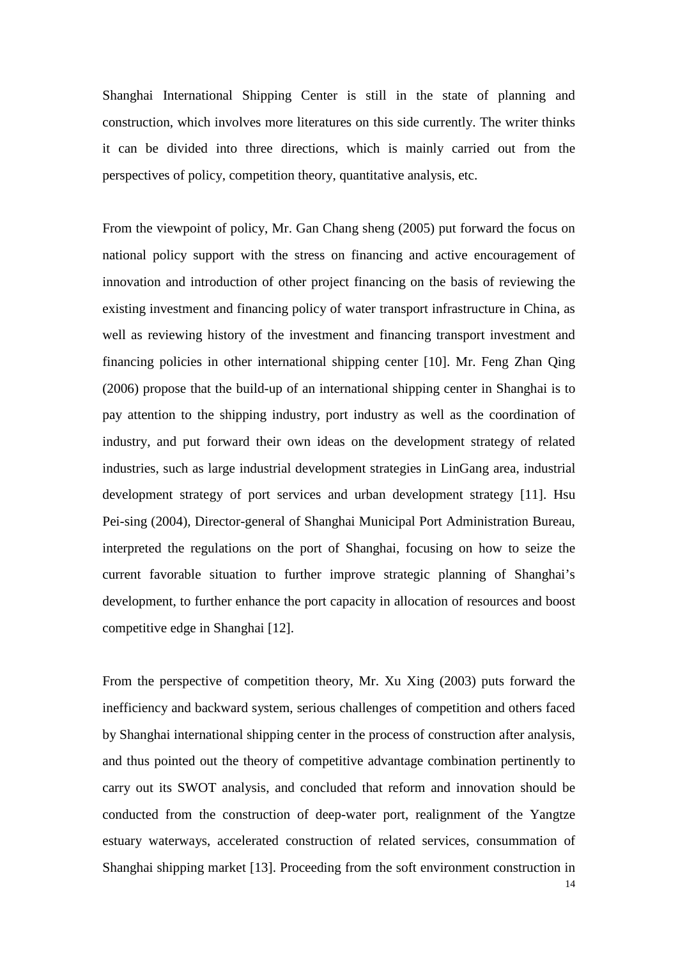Shanghai International Shipping Center is still in the state of planning and construction, which involves more literatures on this side currently. The writer thinks it can be divided into three directions, which is mainly carried out from the perspectives of policy, competition theory, quantitative analysis, etc.

From the viewpoint of policy, Mr. Gan Chang sheng (2005) put forward the focus on national policy support with the stress on financing and active encouragement of innovation and introduction of other project financing on the basis of reviewing the existing investment and financing policy of water transport infrastructure in China, as well as reviewing history of the investment and financing transport investment and financing policies in other international shipping center [10]. Mr. Feng Zhan Qing (2006) propose that the build-up of an international shipping center in Shanghai is to pay attention to the shipping industry, port industry as well as the coordination of industry, and put forward their own ideas on the development strategy of related industries, such as large industrial development strategies in LinGang area, industrial development strategy of port services and urban development strategy [11]. Hsu Pei-sing (2004), Director-general of Shanghai Municipal Port Administration Bureau, interpreted the regulations on the port of Shanghai, focusing on how to seize the current favorable situation to further improve strategic planning of Shanghai's development, to further enhance the port capacity in allocation of resources and boost competitive edge in Shanghai [12].

From the perspective of competition theory, Mr. Xu Xing (2003) puts forward the inefficiency and backward system, serious challenges of competition and others faced by Shanghai international shipping center in the process of construction after analysis, and thus pointed out the theory of competitive advantage combination pertinently to carry out its SWOT analysis, and concluded that reform and innovation should be conducted from the construction of deep-water port, realignment of the Yangtze estuary waterways, accelerated construction of related services, consummation of Shanghai shipping market [13]. Proceeding from the soft environment construction in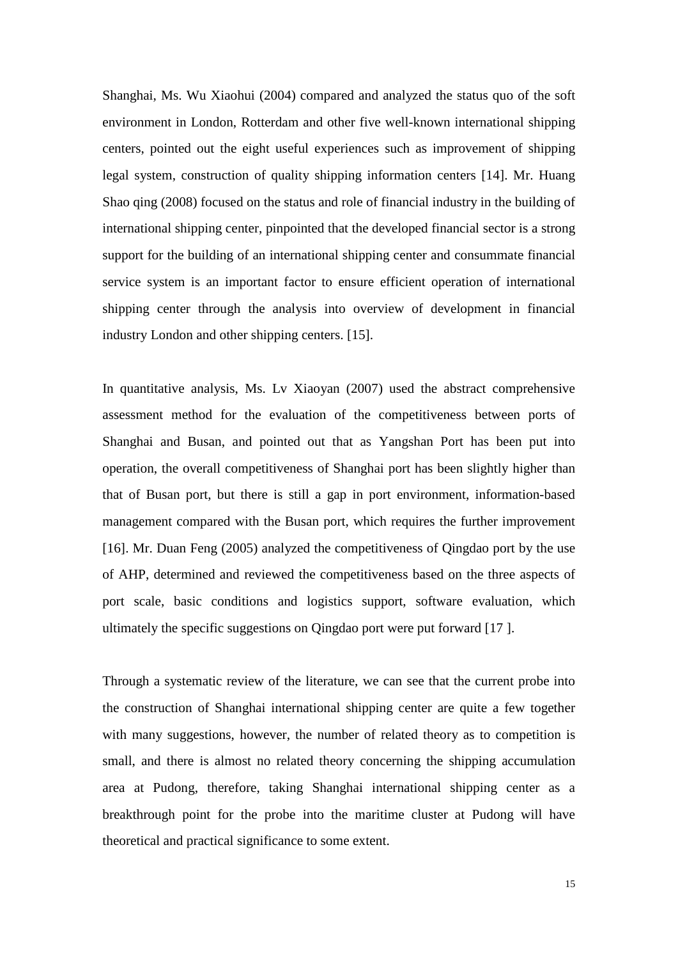Shanghai, Ms. Wu Xiaohui (2004) compared and analyzed the status quo of the soft environment in London, Rotterdam and other five well-known international shipping centers, pointed out the eight useful experiences such as improvement of shipping legal system, construction of quality shipping information centers [14]. Mr. Huang Shao qing (2008) focused on the status and role of financial industry in the building of international shipping center, pinpointed that the developed financial sector is a strong support for the building of an international shipping center and consummate financial service system is an important factor to ensure efficient operation of international shipping center through the analysis into overview of development in financial industry London and other shipping centers. [15].

In quantitative analysis, Ms. Lv Xiaoyan (2007) used the abstract comprehensive assessment method for the evaluation of the competitiveness between ports of Shanghai and Busan, and pointed out that as Yangshan Port has been put into operation, the overall competitiveness of Shanghai port has been slightly higher than that of Busan port, but there is still a gap in port environment, information-based management compared with the Busan port, which requires the further improvement [16]. Mr. Duan Feng (2005) analyzed the competitiveness of Qingdao port by the use of AHP, determined and reviewed the competitiveness based on the three aspects of port scale, basic conditions and logistics support, software evaluation, which ultimately the specific suggestions on Qingdao port were put forward [17 ].

Through a systematic review of the literature, we can see that the current probe into the construction of Shanghai international shipping center are quite a few together with many suggestions, however, the number of related theory as to competition is small, and there is almost no related theory concerning the shipping accumulation area at Pudong, therefore, taking Shanghai international shipping center as a breakthrough point for the probe into the maritime cluster at Pudong will have theoretical and practical significance to some extent.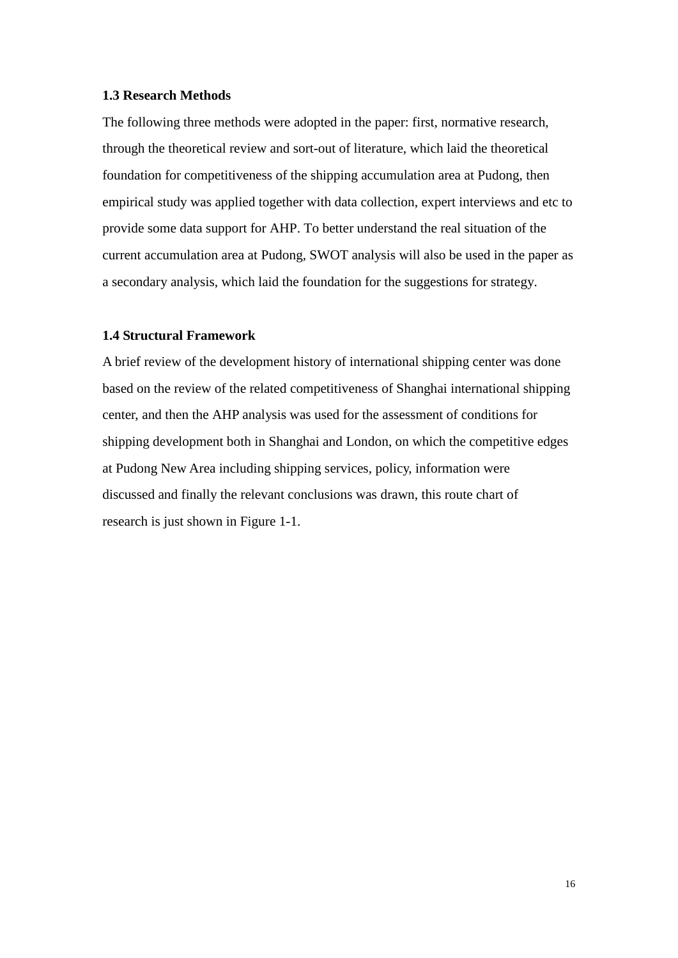#### **1.3 Research Methods**

The following three methods were adopted in the paper: first, normative research, through the theoretical review and sort-out of literature, which laid the theoretical foundation for competitiveness of the shipping accumulation area at Pudong, then empirical study was applied together with data collection, expert interviews and etc to provide some data support for AHP. To better understand the real situation of the current accumulation area at Pudong, SWOT analysis will also be used in the paper as a secondary analysis, which laid the foundation for the suggestions for strategy.

#### **1.4 Structural Framework**

A brief review of the development history of international shipping center was done based on the review of the related competitiveness of Shanghai international shipping center, and then the AHP analysis was used for the assessment of conditions for shipping development both in Shanghai and London, on which the competitive edges at Pudong New Area including shipping services, policy, information were discussed and finally the relevant conclusions was drawn, this route chart of research is just shown in Figure 1-1.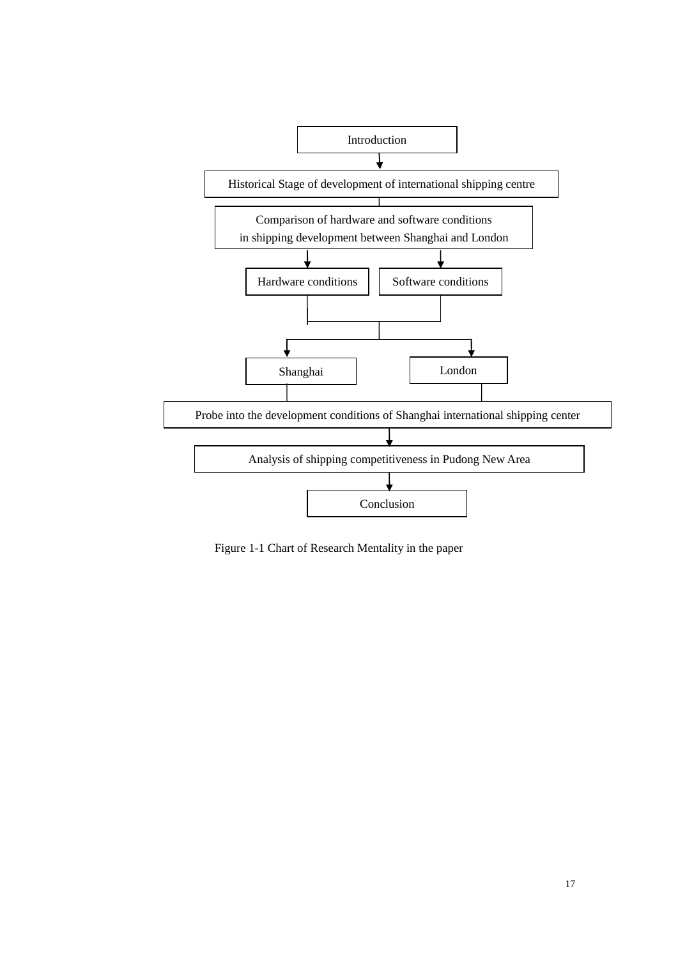

Figure 1-1 Chart of Research Mentality in the paper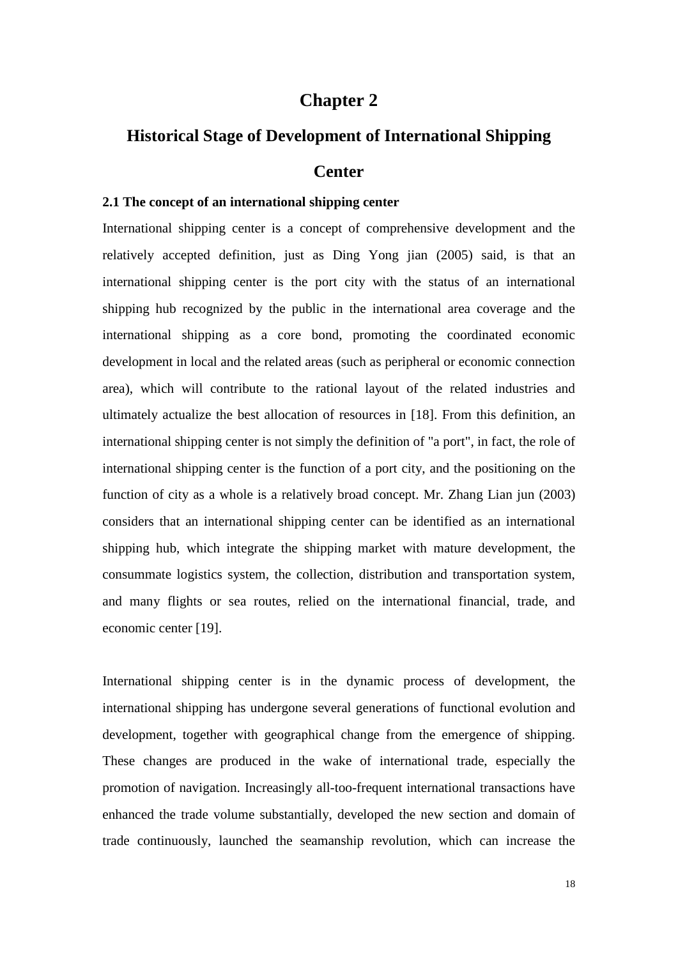## **Chapter 2**

## **Historical Stage of Development of International Shipping**

#### **Center**

#### **2.1 The concept of an international shipping center**

International shipping center is a concept of comprehensive development and the relatively accepted definition, just as Ding Yong jian (2005) said, is that an international shipping center is the port city with the status of an international shipping hub recognized by the public in the international area coverage and the international shipping as a core bond, promoting the coordinated economic development in local and the related areas (such as peripheral or economic connection area), which will contribute to the rational layout of the related industries and ultimately actualize the best allocation of resources in [18]. From this definition, an international shipping center is not simply the definition of "a port", in fact, the role of international shipping center is the function of a port city, and the positioning on the function of city as a whole is a relatively broad concept. Mr. Zhang Lian jun (2003) considers that an international shipping center can be identified as an international shipping hub, which integrate the shipping market with mature development, the consummate logistics system, the collection, distribution and transportation system, and many flights or sea routes, relied on the international financial, trade, and economic center [19].

International shipping center is in the dynamic process of development, the international shipping has undergone several generations of functional evolution and development, together with geographical change from the emergence of shipping. These changes are produced in the wake of international trade, especially the promotion of navigation. Increasingly all-too-frequent international transactions have enhanced the trade volume substantially, developed the new section and domain of trade continuously, launched the seamanship revolution, which can increase the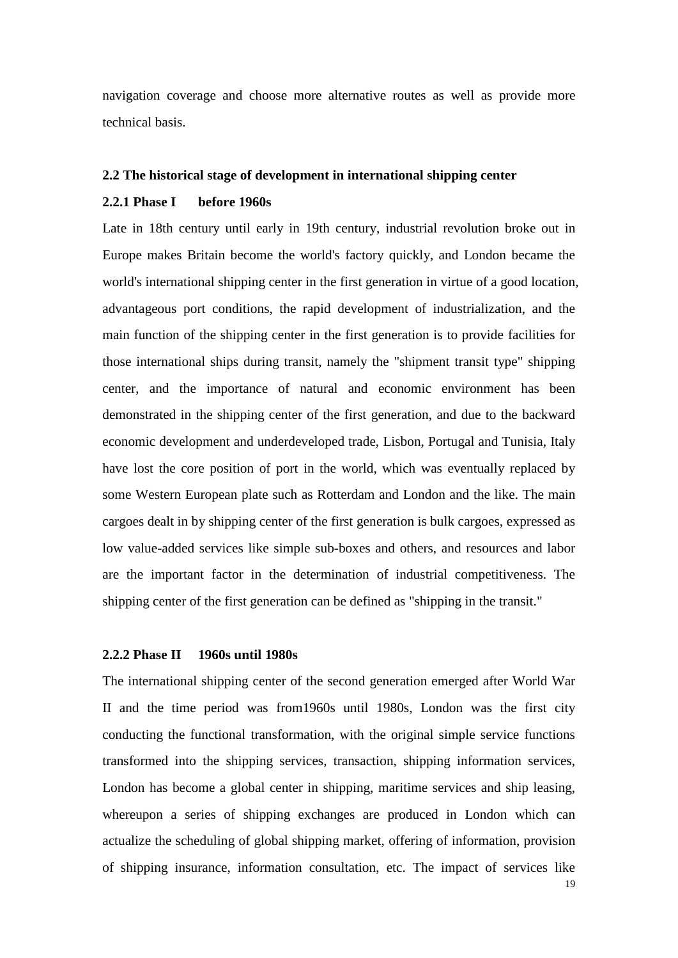navigation coverage and choose more alternative routes as well as provide more technical basis.

#### **2.2 The historical stage of development in international shipping center**

#### **2.2.1 Phase I before 1960s**

Late in 18th century until early in 19th century, industrial revolution broke out in Europe makes Britain become the world's factory quickly, and London became the world's international shipping center in the first generation in virtue of a good location, advantageous port conditions, the rapid development of industrialization, and the main function of the shipping center in the first generation is to provide facilities for those international ships during transit, namely the "shipment transit type" shipping center, and the importance of natural and economic environment has been demonstrated in the shipping center of the first generation, and due to the backward economic development and underdeveloped trade, Lisbon, Portugal and Tunisia, Italy have lost the core position of port in the world, which was eventually replaced by some Western European plate such as Rotterdam and London and the like. The main cargoes dealt in by shipping center of the first generation is bulk cargoes, expressed as low value-added services like simple sub-boxes and others, and resources and labor are the important factor in the determination of industrial competitiveness. The shipping center of the first generation can be defined as "shipping in the transit."

#### **2.2.2 Phase II 1960s until 1980s**

The international shipping center of the second generation emerged after World War II and the time period was from1960s until 1980s, London was the first city conducting the functional transformation, with the original simple service functions transformed into the shipping services, transaction, shipping information services, London has become a global center in shipping, maritime services and ship leasing, whereupon a series of shipping exchanges are produced in London which can actualize the scheduling of global shipping market, offering of information, provision of shipping insurance, information consultation, etc. The impact of services like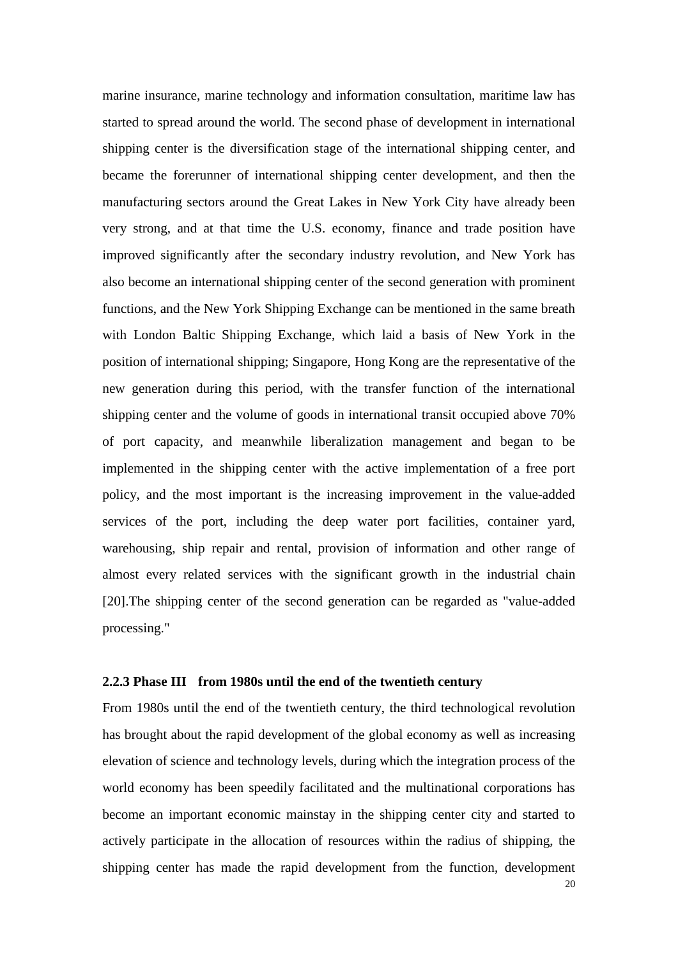marine insurance, marine technology and information consultation, maritime law has started to spread around the world. The second phase of development in international shipping center is the diversification stage of the international shipping center, and became the forerunner of international shipping center development, and then the manufacturing sectors around the Great Lakes in New York City have already been very strong, and at that time the U.S. economy, finance and trade position have improved significantly after the secondary industry revolution, and New York has also become an international shipping center of the second generation with prominent functions, and the New York Shipping Exchange can be mentioned in the same breath with London Baltic Shipping Exchange, which laid a basis of New York in the position of international shipping; Singapore, Hong Kong are the representative of the new generation during this period, with the transfer function of the international shipping center and the volume of goods in international transit occupied above 70% of port capacity, and meanwhile liberalization management and began to be implemented in the shipping center with the active implementation of a free port policy, and the most important is the increasing improvement in the value-added services of the port, including the deep water port facilities, container yard, warehousing, ship repair and rental, provision of information and other range of almost every related services with the significant growth in the industrial chain [20].The shipping center of the second generation can be regarded as "value-added processing."

#### **2.2.3 Phase III from 1980s until the end of the twentieth century**

From 1980s until the end of the twentieth century, the third technological revolution has brought about the rapid development of the global economy as well as increasing elevation of science and technology levels, during which the integration process of the world economy has been speedily facilitated and the multinational corporations has become an important economic mainstay in the shipping center city and started to actively participate in the allocation of resources within the radius of shipping, the shipping center has made the rapid development from the function, development

20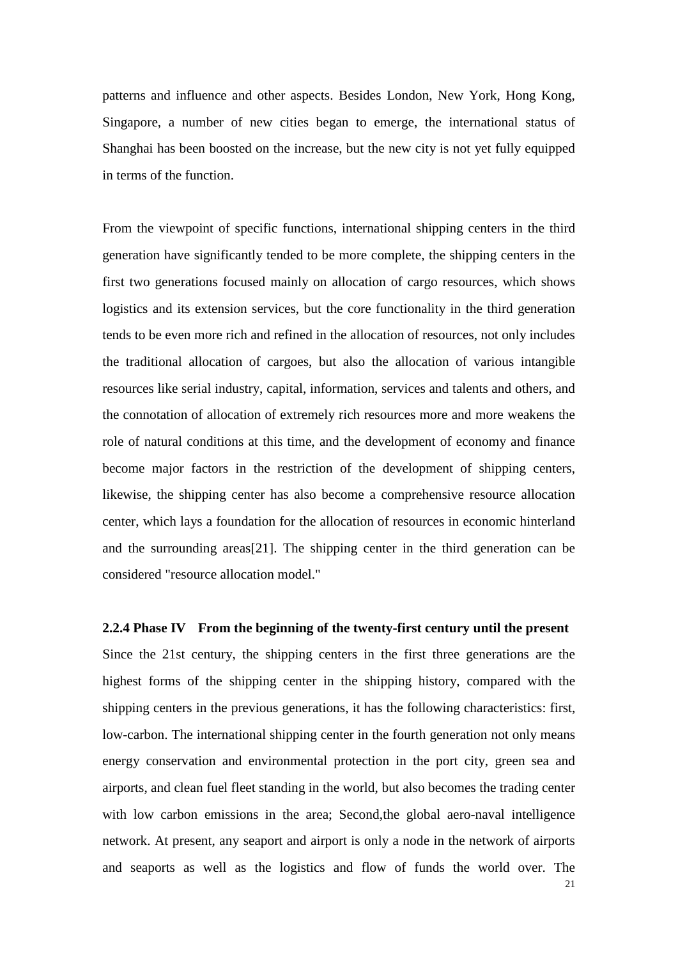patterns and influence and other aspects. Besides London, New York, Hong Kong, Singapore, a number of new cities began to emerge, the international status of Shanghai has been boosted on the increase, but the new city is not yet fully equipped in terms of the function.

From the viewpoint of specific functions, international shipping centers in the third generation have significantly tended to be more complete, the shipping centers in the first two generations focused mainly on allocation of cargo resources, which shows logistics and its extension services, but the core functionality in the third generation tends to be even more rich and refined in the allocation of resources, not only includes the traditional allocation of cargoes, but also the allocation of various intangible resources like serial industry, capital, information, services and talents and others, and the connotation of allocation of extremely rich resources more and more weakens the role of natural conditions at this time, and the development of economy and finance become major factors in the restriction of the development of shipping centers, likewise, the shipping center has also become a comprehensive resource allocation center, which lays a foundation for the allocation of resources in economic hinterland and the surrounding areas[21]. The shipping center in the third generation can be considered "resource allocation model."

**2.2.4 Phase IV From the beginning of the twenty-first century until the present**

21 Since the 21st century, the shipping centers in the first three generations are the highest forms of the shipping center in the shipping history, compared with the shipping centers in the previous generations, it has the following characteristics: first, low-carbon. The international shipping center in the fourth generation not only means energy conservation and environmental protection in the port city, green sea and airports, and clean fuel fleet standing in the world, but also becomes the trading center with low carbon emissions in the area; Second, the global aero-naval intelligence network. At present, any seaport and airport is only a node in the network of airports and seaports as well as the logistics and flow of funds the world over. The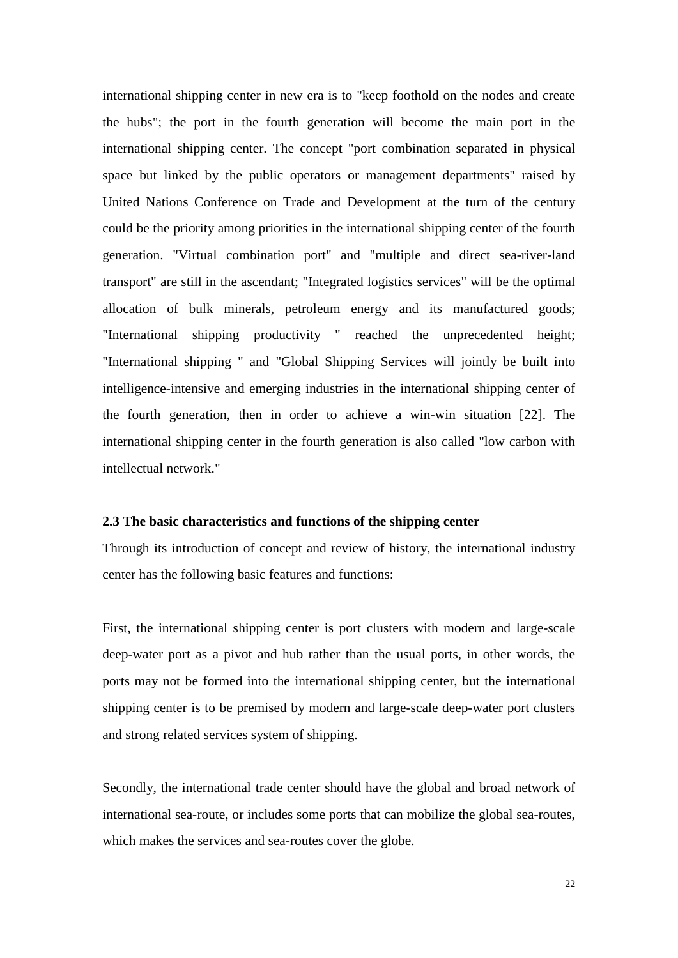international shipping center in new era is to "keep foothold on the nodes and create the hubs"; the port in the fourth generation will become the main port in the international shipping center. The concept "port combination separated in physical space but linked by the public operators or management departments" raised by United Nations Conference on Trade and Development at the turn of the century could be the priority among priorities in the international shipping center of the fourth generation. "Virtual combination port" and "multiple and direct sea-river-land transport" are still in the ascendant; "Integrated logistics services" will be the optimal allocation of bulk minerals, petroleum energy and its manufactured goods; "International shipping productivity " reached the unprecedented height; "International shipping " and "Global Shipping Services will jointly be built into intelligence-intensive and emerging industries in the international shipping center of the fourth generation, then in order to achieve a win-win situation [22]. The international shipping center in the fourth generation is also called "low carbon with intellectual network."

#### **2.3 The basic characteristics and functions of the shipping center**

Through its introduction of concept and review of history, the international industry center has the following basic features and functions:

First, the international shipping center is port clusters with modern and large-scale deep-water port as a pivot and hub rather than the usual ports, in other words, the ports may not be formed into the international shipping center, but the international shipping center is to be premised by modern and large-scale deep-water port clusters and strong related services system of shipping.

Secondly, the international trade center should have the global and broad network of international sea-route, or includes some ports that can mobilize the global sea-routes, which makes the services and sea-routes cover the globe.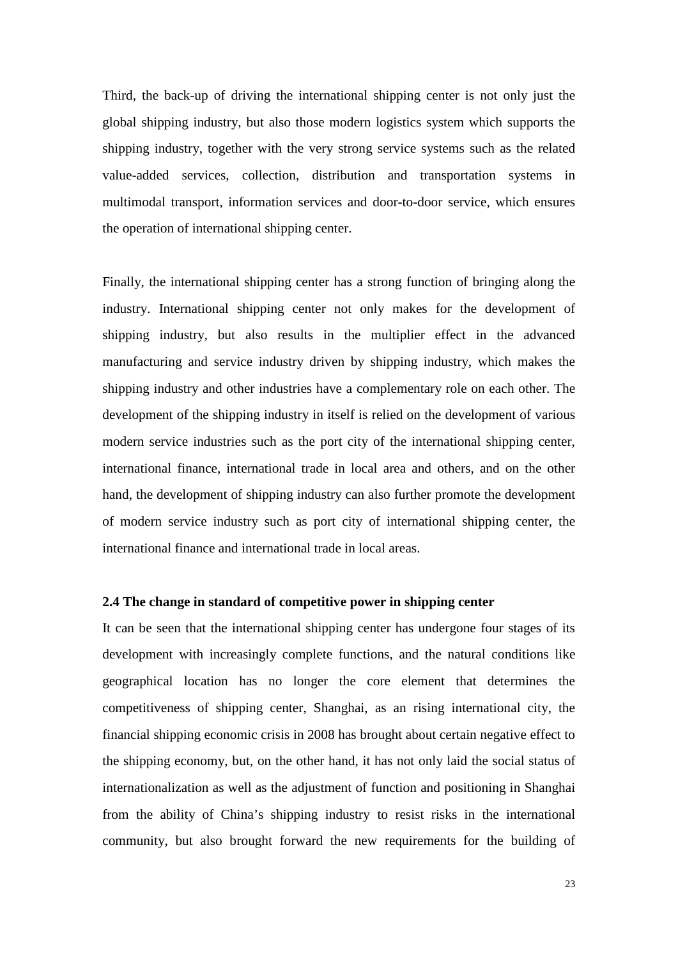Third, the back-up of driving the international shipping center is not only just the global shipping industry, but also those modern logistics system which supports the shipping industry, together with the very strong service systems such as the related value-added services, collection, distribution and transportation systems in multimodal transport, information services and door-to-door service, which ensures the operation of international shipping center.

<span id="page-23-0"></span>Finally, the international shipping center has a strong function of bringing along the industry. International shipping center not only makes for the development of shipping industry, but also results in the multiplier effect in the advanced manufacturing and service industry driven by shipping industry, which makes the shipping industry and other industries have a complementary role on each other. The development of the shipping industry in itself is relied on the development of various modern service industries such as the port city of the international shipping center, international finance, international trade in local area and others, and on the other hand, the development of shipping industry can also further promote the development of modern service industry such as port city of international shipping center, the international finance and international trade in local areas.

#### **2.4 The change in standard of competitive power in shipping center**

It can be seen that the international shipping center has undergone four stages of its development with increasingly complete functions, and the natural conditions like geographical location has no longer the core element that determines the competitiveness of shipping center, Shanghai, as an rising international city, the financial shipping economic crisis in 2008 has brought about certain negative effect to the shipping economy, but, on the other hand, it has not only laid the social status of internationalization as well as the adjustment of function and positioning in Shanghai from the ability of China's shipping industry to resist risks in the international community, but also brought forward the new requirements for the building of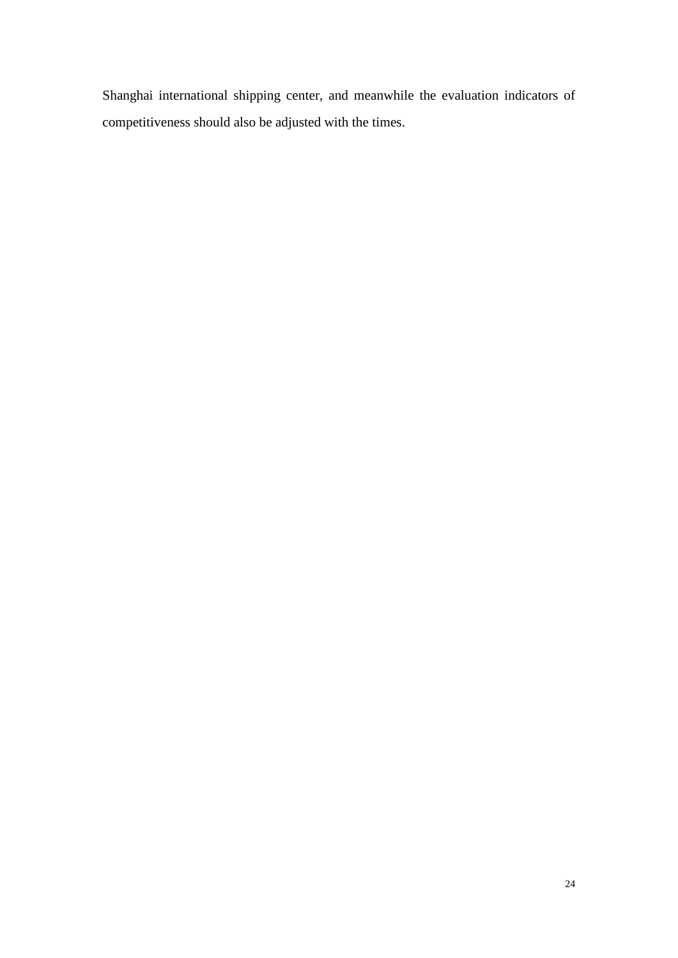Shanghai international shipping center, and meanwhile the evaluation indicators of competitiveness should also be adjusted with the times.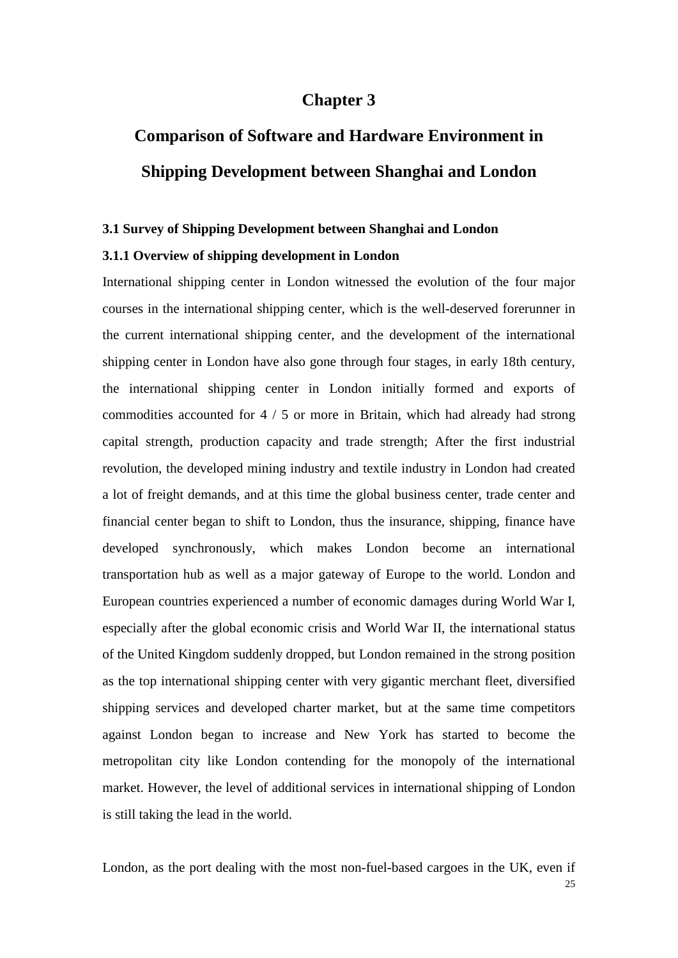### **Chapter 3**

# **Comparison of Software and Hardware Environment in Shipping Development between Shanghai and London**

#### **3.1 Survey of Shipping Development between Shanghai and London**

#### **3.1.1 Overview of shipping development in London**

International shipping center in London witnessed the evolution of the four major courses in the international shipping center, which is the well-deserved forerunner in the current international shipping center, and the development of the international shipping center in London have also gone through four stages, in early 18th century, the international shipping center in London initially formed and exports of commodities accounted for 4 / 5 or more in Britain, which had already had strong capital strength, production capacity and trade strength; After the first industrial revolution, the developed mining industry and textile industry in London had created a lot of freight demands, and at this time the global business center, trade center and financial center began to shift to London, thus the insurance, shipping, finance have developed synchronously, which makes London become an international transportation hub as well as a major gateway of Europe to the world. London and European countries experienced a number of economic damages during World War I, especially after the global economic crisis and World War II, the international status of the United Kingdom suddenly dropped, but London remained in the strong position as the top international shipping center with very gigantic merchant fleet, diversified shipping services and developed charter market, but at the same time competitors against London began to increase and New York has started to become the metropolitan city like London contending for the monopoly of the international market. However, the level of additional services in international shipping of London is still taking the lead in the world.

25 London, as the port dealing with the most non-fuel-based cargoes in the UK, even if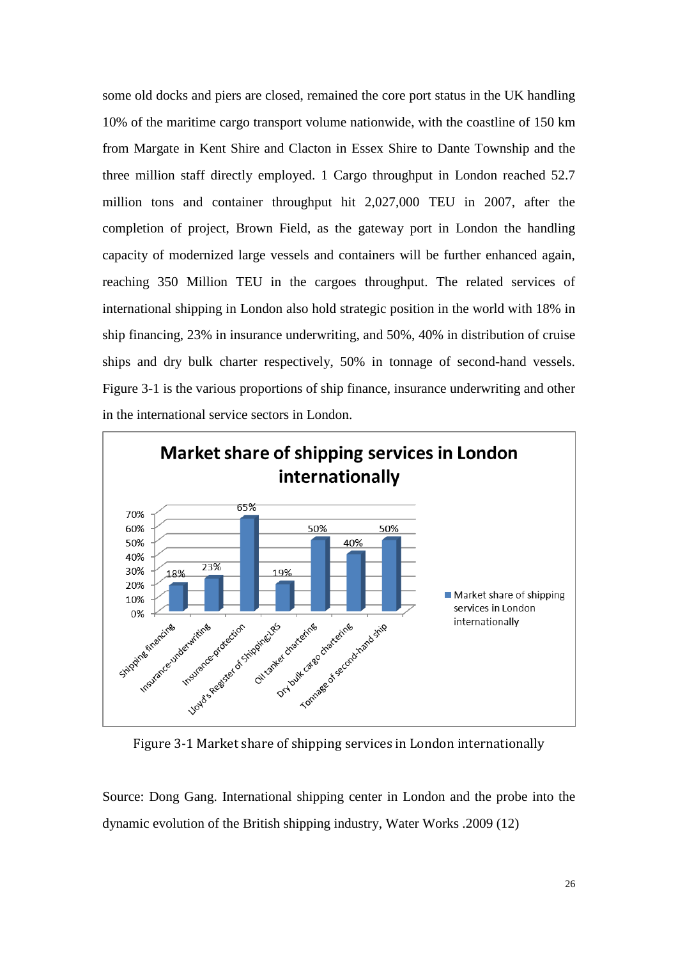some old docks and piers are closed, remained the core port status in the UK handling 10% of the maritime cargo transport volume nationwide, with the coastline of 150 km from Margate in Kent Shire and Clacton in Essex Shire to Dante Township and the three million staff directly employed. 1 Cargo throughput in London reached 52.7 million tons and container throughput hit 2,027,000 TEU in 2007, after the completion of project, Brown Field, as the gateway port in London the handling capacity of modernized large vessels and containers will be further enhanced again, reaching 350 Million TEU in the cargoes throughput. The related services of international shipping in London also hold strategic position in the world with 18% in ship financing, 23% in insurance underwriting, and 50%, 40% in distribution of cruise ships and dry bulk charter respectively, 50% in tonnage of second-hand vessels. Figure 3-1 is the various proportions of ship finance, insurance underwriting and other in the international service sectors in London.



Figure 3-1 Market share of shipping services in London internationally

Source: Dong Gang. International shipping center in London and the probe into the dynamic evolution of the British shipping industry, Water Works .2009 (12)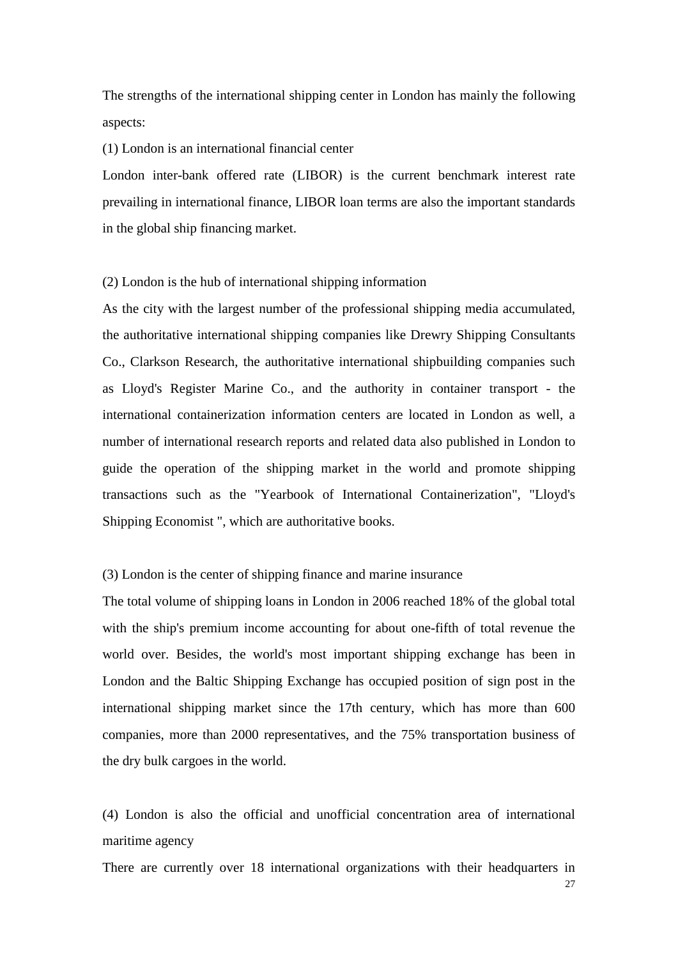The strengths of the international shipping center in London has mainly the following aspects:

(1) London is an international financial center

London inter-bank offered rate (LIBOR) is the current benchmark interest rate prevailing in international finance, LIBOR loan terms are also the important standards in the global ship financing market.

#### (2) London is the hub of international shipping information

As the city with the largest number of the professional shipping media accumulated, the authoritative international shipping companies like Drewry Shipping Consultants Co., Clarkson Research, the authoritative international shipbuilding companies such as Lloyd's Register Marine Co., and the authority in container transport - the international containerization information centers are located in London as well, a number of international research reports and related data also published in London to guide the operation of the shipping market in the world and promote shipping transactions such as the "Yearbook of International Containerization", "Lloyd's Shipping Economist ", which are authoritative books.

#### (3) London is the center of shipping finance and marine insurance

The total volume of shipping loans in London in 2006 reached 18% of the global total with the ship's premium income accounting for about one-fifth of total revenue the world over. Besides, the world's most important shipping exchange has been in London and the Baltic Shipping Exchange has occupied position of sign post in the international shipping market since the 17th century, which has more than 600 companies, more than 2000 representatives, and the 75% transportation business of the dry bulk cargoes in the world.

(4) London is also the official and unofficial concentration area of international maritime agency

27 There are currently over 18 international organizations with their headquarters in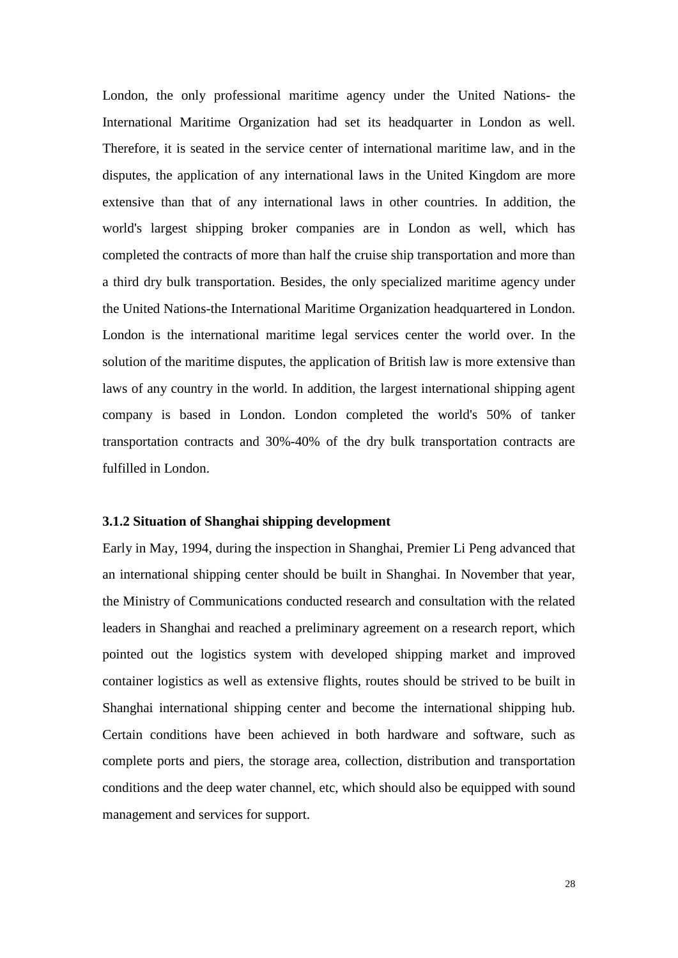London, the only professional maritime agency under the United Nations- the International Maritime Organization had set its headquarter in London as well. Therefore, it is seated in the service center of international maritime law, and in the disputes, the application of any international laws in the United Kingdom are more extensive than that of any international laws in other countries. In addition, the world's largest shipping broker companies are in London as well, which has completed the contracts of more than half the cruise ship transportation and more than a third dry bulk transportation. Besides, the only specialized maritime agency under the United Nations-the International Maritime Organization headquartered in London. London is the international maritime legal services center the world over. In the solution of the maritime disputes, the application of British law is more extensive than laws of any country in the world. In addition, the largest international shipping agent company is based in London. London completed the world's 50% of tanker transportation contracts and 30%-40% of the dry bulk transportation contracts are fulfilled in London.

#### **3.1.2 Situation of Shanghai shipping development**

Early in May, 1994, during the inspection in Shanghai, Premier Li Peng advanced that an international shipping center should be built in Shanghai. In November that year, the Ministry of Communications conducted research and consultation with the related leaders in Shanghai and reached a preliminary agreement on a research report, which pointed out the logistics system with developed shipping market and improved container logistics as well as extensive flights, routes should be strived to be built in Shanghai international shipping center and become the international shipping hub. Certain conditions have been achieved in both hardware and software, such as complete ports and piers, the storage area, collection, distribution and transportation conditions and the deep water channel, etc, which should also be equipped with sound management and services for support.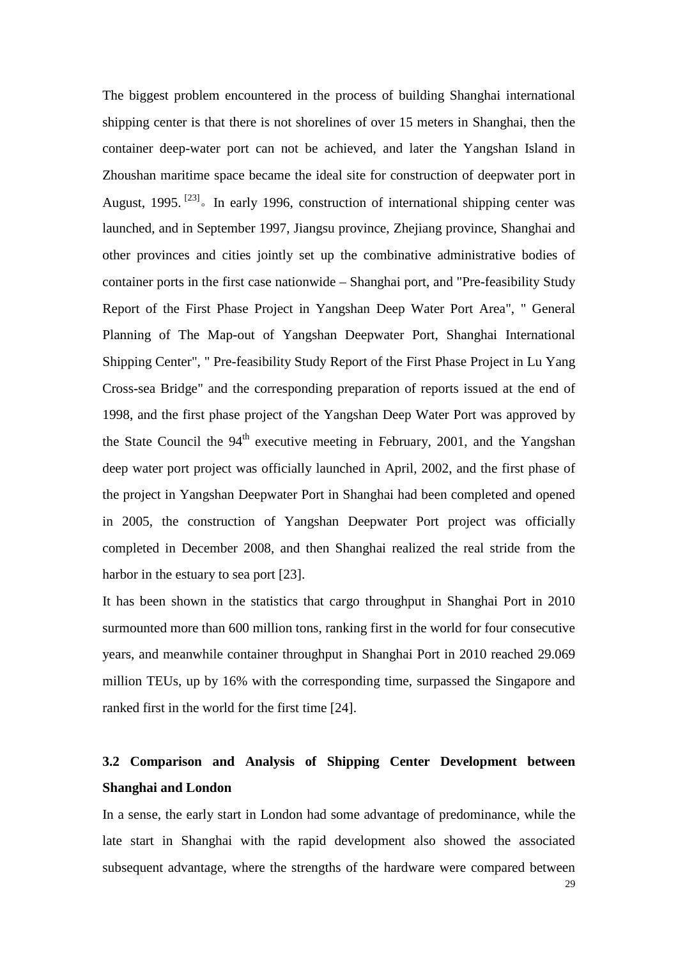The biggest problem encountered in the process of building Shanghai international shipping center is that there is not shorelines of over 15 meters in Shanghai, then the container deep-water port can not be achieved, and later the Yangshan Island in Zhoushan maritime space became the ideal site for construction of deepwater port in August, 1995.<sup>[23]</sup>. In early 1996, construction of international shipping center was launched, and in September 1997, Jiangsu province, Zhejiang province, Shanghai and other provinces and cities jointly set up the combinative administrative bodies of container ports in the first case nationwide – Shanghai port, and "Pre-feasibility Study Report of the First Phase Project in Yangshan Deep Water Port Area", " General Planning of The Map-out of Yangshan Deepwater Port, Shanghai International Shipping Center", " Pre-feasibility Study Report of the First Phase Project in Lu Yang Cross-sea Bridge" and the corresponding preparation of reports issued at the end of 1998, and the first phase project of the Yangshan Deep Water Port was approved by the State Council the  $94<sup>th</sup>$  executive meeting in February, 2001, and the Yangshan deep water port project was officially launched in April, 2002, and the first phase of the project in Yangshan Deepwater Port in Shanghai had been completed and opened in 2005, the construction of Yangshan Deepwater Port project was officially completed in December 2008, and then Shanghai realized the real stride from the harbor in the estuary to sea port [23].

It has been shown in the statistics that cargo throughput in Shanghai Port in 2010 surmounted more than 600 million tons, ranking first in the world for four consecutive years, and meanwhile container throughput in Shanghai Port in 2010 reached 29.069 million TEUs, up by 16% with the corresponding time, surpassed the Singapore and ranked first in the world for the first time [24].

## **3.2 Comparison and Analysis of Shipping Center Development between Shanghai and London**

In a sense, the early start in London had some advantage of predominance, while the late start in Shanghai with the rapid development also showed the associated subsequent advantage, where the strengths of the hardware were compared between

29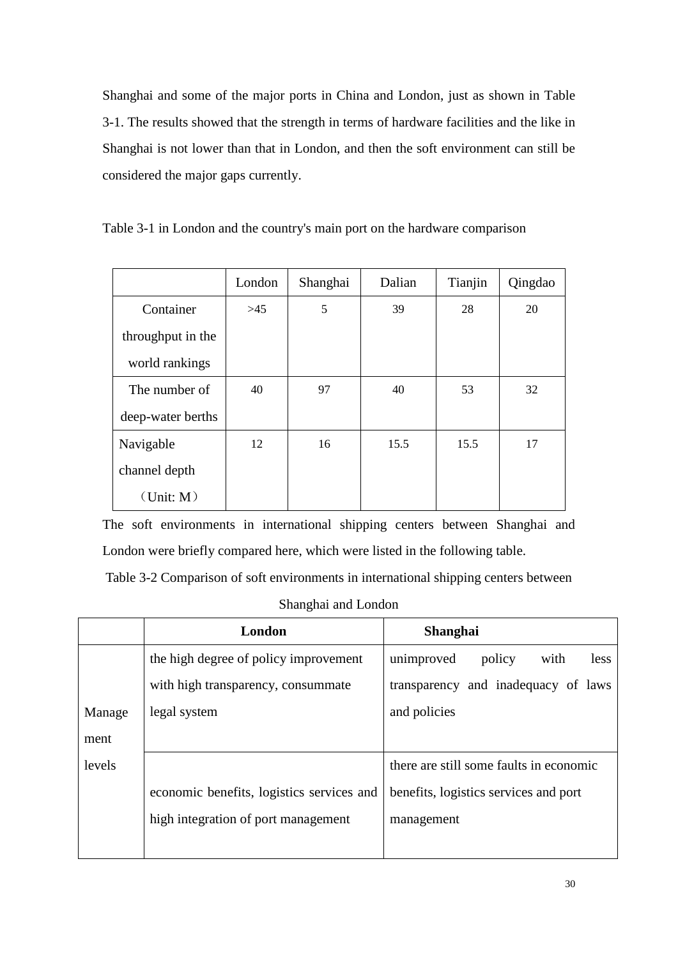Shanghai and some of the major ports in China and London, just as shown in Table 3-1. The results showed that the strength in terms of hardware facilities and the like in Shanghai is not lower than that in London, and then the soft environment can still be considered the major gaps currently.

|  |  |  |  |  | Table 3-1 in London and the country's main port on the hardware comparison |
|--|--|--|--|--|----------------------------------------------------------------------------|
|  |  |  |  |  |                                                                            |

|                   | London | Shanghai | Dalian | Tianjin | Qingdao |
|-------------------|--------|----------|--------|---------|---------|
| Container         | >45    | 5        | 39     | 28      | 20      |
| throughput in the |        |          |        |         |         |
| world rankings    |        |          |        |         |         |
| The number of     | 40     | 97       | 40     | 53      | 32      |
| deep-water berths |        |          |        |         |         |
| Navigable         | 12     | 16       | 15.5   | 15.5    | 17      |
| channel depth     |        |          |        |         |         |
| (Unit: M)         |        |          |        |         |         |

The soft environments in international shipping centers between Shanghai and London were briefly compared here, which were listed in the following table.

Table 3-2 Comparison of soft environments in international shipping centers between

Shanghai and London

|        | London                                    | Shanghai                                |
|--------|-------------------------------------------|-----------------------------------------|
|        | the high degree of policy improvement     | less<br>unimproved<br>policy<br>with    |
|        | with high transparency, consummate        | transparency and inadequacy of laws     |
| Manage | legal system                              | and policies                            |
| ment   |                                           |                                         |
| levels |                                           | there are still some faults in economic |
|        | economic benefits, logistics services and | benefits, logistics services and port   |
|        | high integration of port management       | management                              |
|        |                                           |                                         |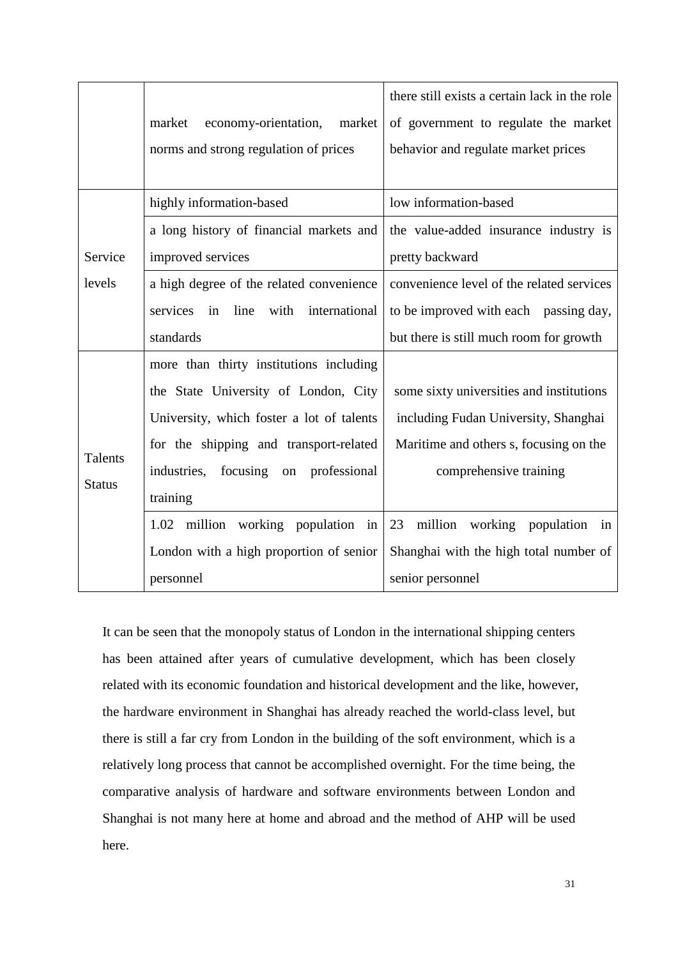|               |                                              | there still exists a certain lack in the role |  |  |
|---------------|----------------------------------------------|-----------------------------------------------|--|--|
|               | economy-orientation,<br>market<br>market     | of government to regulate the market          |  |  |
|               | norms and strong regulation of prices        | behavior and regulate market prices           |  |  |
|               |                                              |                                               |  |  |
|               | highly information-based                     | low information-based                         |  |  |
|               | a long history of financial markets and      | the value-added insurance industry is         |  |  |
| Service       | improved services                            | pretty backward                               |  |  |
| levels        | a high degree of the related convenience     | convenience level of the related services     |  |  |
|               | line<br>with<br>international<br>services in | to be improved with each passing day,         |  |  |
|               | standards                                    | but there is still much room for growth       |  |  |
|               | more than thirty institutions including      |                                               |  |  |
|               | the State University of London, City         | some sixty universities and institutions      |  |  |
|               | University, which foster a lot of talents    | including Fudan University, Shanghai          |  |  |
| Talents       | for the shipping and transport-related       | Maritime and others s, focusing on the        |  |  |
|               | industries, focusing on<br>professional      | comprehensive training                        |  |  |
| <b>Status</b> | training                                     |                                               |  |  |
|               | million working population in<br>1.02        | 23<br>million<br>working population<br>in     |  |  |
|               | London with a high proportion of senior      | Shanghai with the high total number of        |  |  |
|               | personnel                                    | senior personnel                              |  |  |

It can be seen that the monopoly status of London in the international shipping centers has been attained after years of cumulative development, which has been closely related with its economic foundation and historical development and the like, however, the hardware environment in Shanghai has already reached the world-class level, but there is still a far cry from London in the building of the soft environment, which is a relatively long process that cannot be accomplished overnight. For the time being, the comparative analysis of hardware and software environments between London and Shanghai is not many here at home and abroad and the method of AHP will be used here.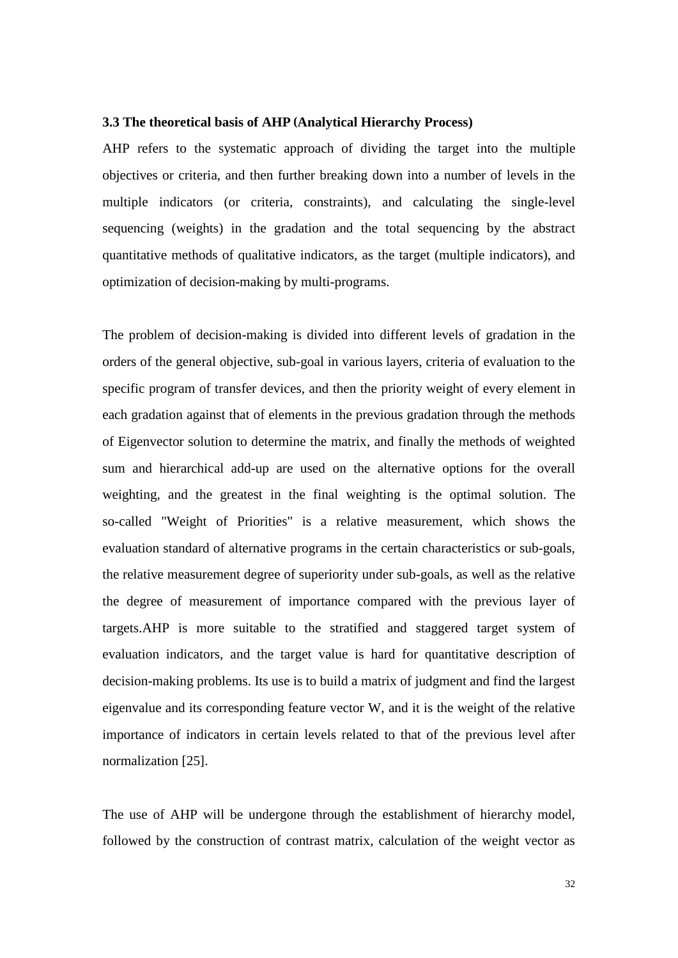#### **3.3 The theoretical basis of AHP (Analytical Hierarchy Process)**

AHP refers to the systematic approach of dividing the target into the multiple objectives or criteria, and then further breaking down into a number of levels in the multiple indicators (or criteria, constraints), and calculating the single-level sequencing (weights) in the gradation and the total sequencing by the abstract quantitative methods of qualitative indicators, as the target (multiple indicators), and optimization of decision-making by multi-programs.

The problem of decision-making is divided into different levels of gradation in the orders of the general objective, sub-goal in various layers, criteria of evaluation to the specific program of transfer devices, and then the priority weight of every element in each gradation against that of elements in the previous gradation through the methods of Eigenvector solution to determine the matrix, and finally the methods of weighted sum and hierarchical add-up are used on the alternative options for the overall weighting, and the greatest in the final weighting is the optimal solution. The so-called "Weight of Priorities" is a relative measurement, which shows the evaluation standard of alternative programs in the certain characteristics or sub-goals, the relative measurement degree of superiority under sub-goals, as well as the relative the degree of measurement of importance compared with the previous layer of targets.AHP is more suitable to the stratified and staggered target system of evaluation indicators, and the target value is hard for quantitative description of decision-making problems. Its use is to build a matrix of judgment and find the largest eigenvalue and its corresponding feature vector W, and it is the weight of the relative importance of indicators in certain levels related to that of the previous level after normalization [25].

The use of AHP will be undergone through the establishment of hierarchy model, followed by the construction of contrast matrix, calculation of the weight vector as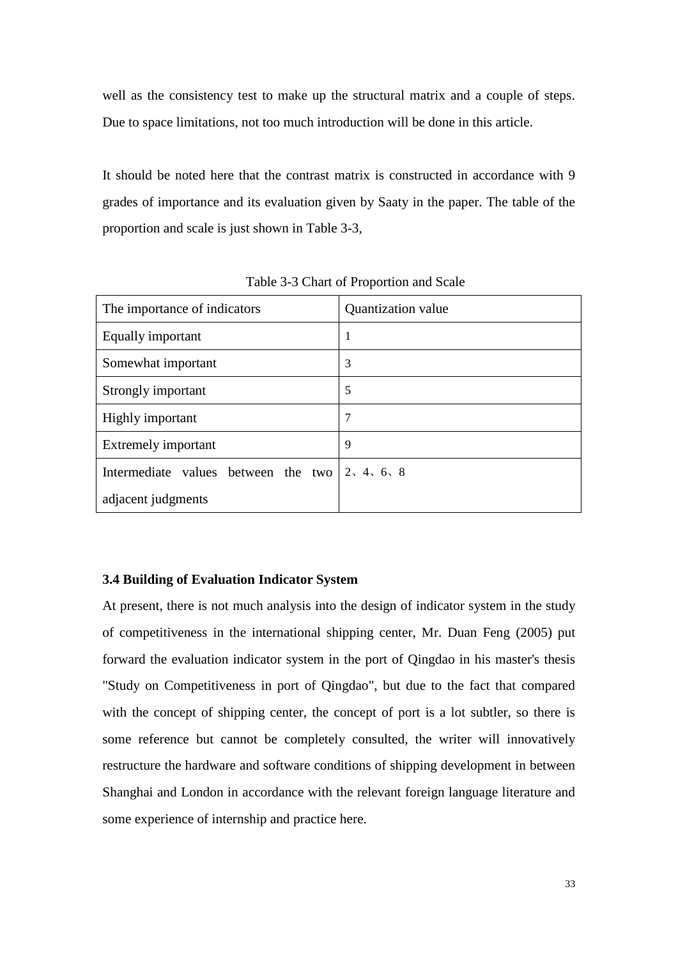well as the consistency test to make up the structural matrix and a couple of steps. Due to space limitations, not too much introduction will be done in this article.

It should be noted here that the contrast matrix is constructed in accordance with 9 grades of importance and its evaluation given by Saaty in the paper. The table of the proportion and scale is just shown in Table 3-3,

<span id="page-33-0"></span>

| The importance of indicators                                   | Quantization value |
|----------------------------------------------------------------|--------------------|
| Equally important                                              | 1                  |
| Somewhat important                                             | 3                  |
| Strongly important                                             | 5                  |
| Highly important                                               | 7                  |
| Extremely important                                            | 9                  |
| Intermediate values between the two $\vert 2, 4, 6, 8 \rangle$ |                    |
| adjacent judgments                                             |                    |

Table 3-3 Chart of Proportion and Scale

#### **[3.4 Building of Evaluation Indicator System](#page-33-0)**

At present, there is not much analysis into the design of indicator system in the study of competitiveness in the international shipping center, Mr. Duan Feng (2005) put forward the evaluation indicator system in the port of Qingdao in his master's thesis "Study on Competitiveness in port of Qingdao", but due to the fact that compared with the concept of shipping center, the concept of port is a lot subtler, so there is some reference but cannot be completely consulted, the writer will innovatively restructure the hardware and software conditions of shipping development in between Shanghai and London in accordance with the relevant foreign language literature and some experience of internship and practice here.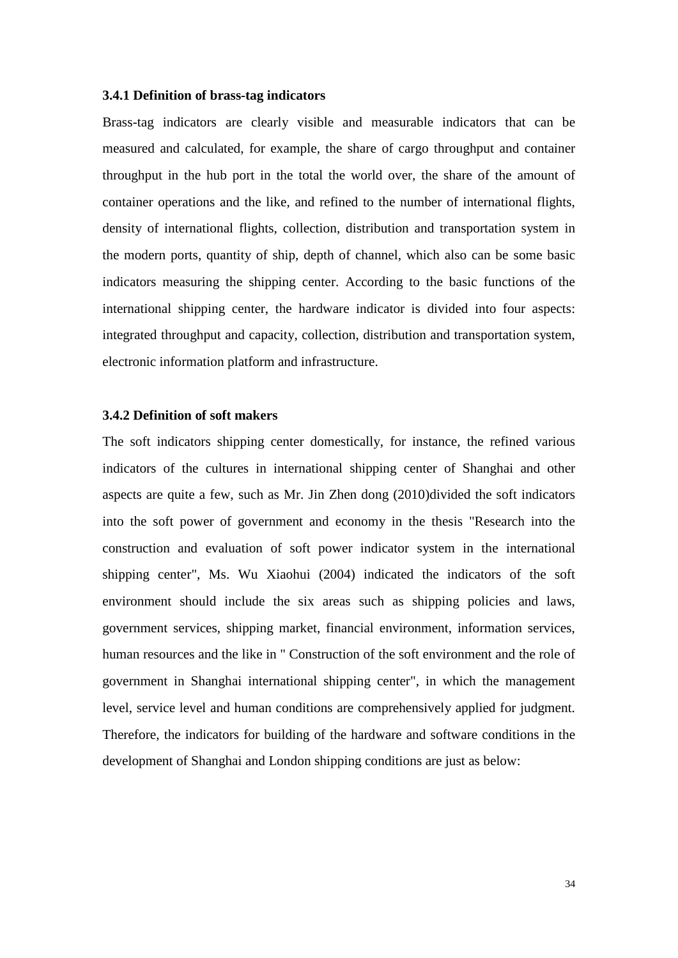#### **3.4.1 Definition of brass-tag indicators**

Brass-tag indicators are clearly visible and measurable indicators that can be measured and calculated, for example, the share of cargo throughput and container throughput in the hub port in the total the world over, the share of the amount of container operations and the like, and refined to the number of international flights, density of international flights, collection, distribution and transportation system in the modern ports, quantity of ship, depth of channel, which also can be some basic indicators measuring the shipping center. According to the basic functions of the international shipping center, the hardware indicator is divided into four aspects: integrated throughput and capacity, collection, distribution and transportation system, electronic information platform and infrastructure.

#### **3.4.2 Definition of soft makers**

The soft indicators shipping center domestically, for instance, the refined various indicators of the cultures in international shipping center of Shanghai and other aspects are quite a few, such as Mr. Jin Zhen dong (2010)divided the soft indicators into the soft power of government and economy in the thesis "Research into the construction and evaluation of soft power indicator system in the international shipping center", Ms. Wu Xiaohui (2004) indicated the indicators of the soft environment should include the six areas such as shipping policies and laws, government services, shipping market, financial environment, information services, human resources and the like in " Construction of the soft environment and the role of government in Shanghai international shipping center", in which the management level, service level and human conditions are comprehensively applied for judgment. Therefore, the indicators for building of the hardware and software conditions in the development of Shanghai and London shipping conditions are just as below: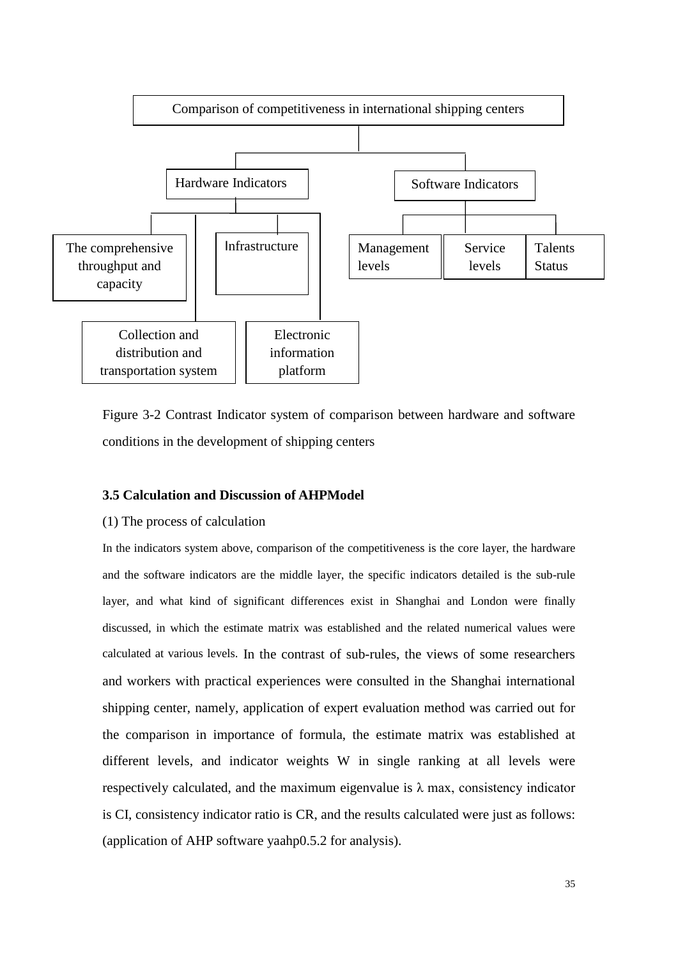

Figure 3-2 Contrast Indicator system of comparison between hardware and software conditions in the development of shipping centers

#### **3.5 Calculation and Discussion of AHPModel**

#### (1) The process of calculation

In the indicators system above, comparison of the competitiveness is the core layer, the hardware and the software indicators are the middle layer, the specific indicators detailed is the sub-rule layer, and what kind of significant differences exist in Shanghai and London were finally discussed, in which the estimate matrix was established and the related numerical values were calculated at various levels. In the contrast of sub-rules, the views of some researchers and workers with practical experiences were consulted in the Shanghai international shipping center, namely, application of expert evaluation method was carried out for the comparison in importance of formula, the estimate matrix was established at different levels, and indicator weights W in single ranking at all levels were respectively calculated, and the maximum eigenvalue is  $\lambda$  max, consistency indicator is CI, consistency indicator ratio is CR, and the results calculated were just as follows: (application of AHP software yaahp0.5.2 for analysis).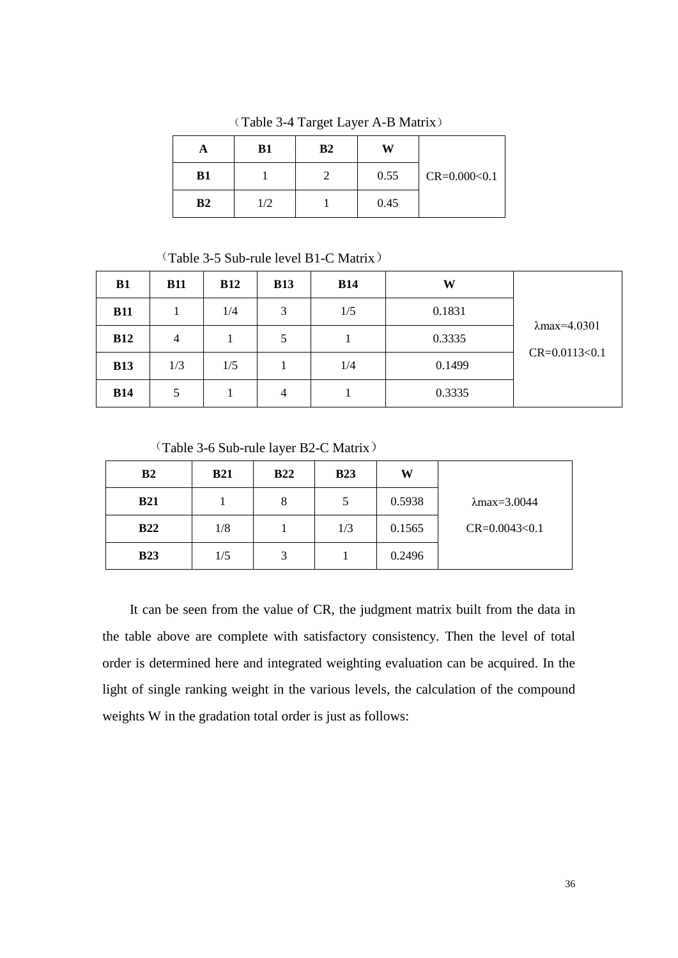| A              | <b>B1</b> | B <sub>2</sub> | W    |                    |
|----------------|-----------|----------------|------|--------------------|
| <b>B1</b>      |           |                | 0.55 | $CR = 0.000 < 0.1$ |
| B <sub>2</sub> | 1/2       |                | 0.45 |                    |

(Table 3-4 Target Layer A-B Matrix)

(Table 3-5 Sub-rule level B1-C Matrix)

| B1         | <b>B11</b>     | <b>B12</b> | <b>B13</b> | <b>B14</b> | W      |                      |
|------------|----------------|------------|------------|------------|--------|----------------------|
| <b>B11</b> |                | 1/4        | 3          | 1/5        | 0.1831 |                      |
| <b>B12</b> | $\overline{4}$ |            | 5          |            | 0.3335 | $\lambda$ max=4.0301 |
| <b>B13</b> | 1/3            | 1/5        |            | 1/4        | 0.1499 | $CR = 0.0113 < 0.1$  |
| <b>B14</b> | 5              |            | 4          |            | 0.3335 |                      |

(Table 3-6 Sub-rule layer B2-C Matrix)

| B <sub>2</sub> | <b>B21</b> | <b>B22</b> | <b>B23</b> | W      |                      |
|----------------|------------|------------|------------|--------|----------------------|
| <b>B21</b>     |            | 8          | 5          | 0.5938 | $\lambda$ max=3.0044 |
| <b>B22</b>     | 1/8        |            | 1/3        | 0.1565 | $CR = 0.0043 < 0.1$  |
| <b>B23</b>     | 1/5        | 3          |            | 0.2496 |                      |

It can be seen from the value of CR, the judgment matrix built from the data in the table above are complete with satisfactory consistency. Then the level of total order is determined here and integrated weighting evaluation can be acquired. In the light of single ranking weight in the various levels, the calculation of the compound weights W in the gradation total order is just as follows: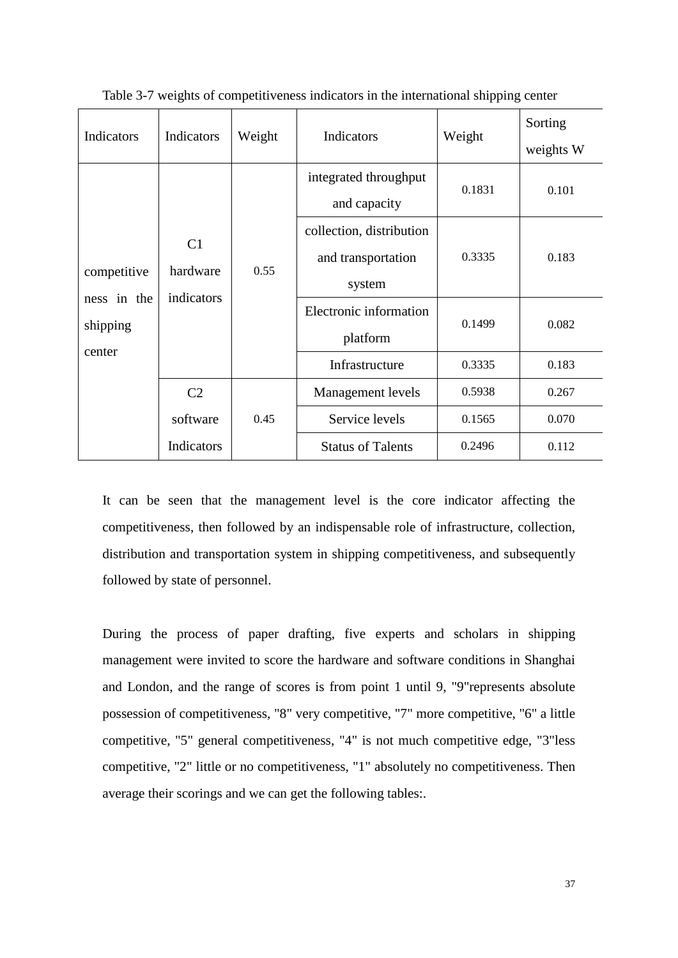| Indicators                                       | Indicators                               | Weight | Indicators                                               | Weight | Sorting<br>weights W |
|--------------------------------------------------|------------------------------------------|--------|----------------------------------------------------------|--------|----------------------|
| competitive<br>ness in the<br>shipping<br>center | C <sub>1</sub><br>hardware<br>indicators | 0.55   | integrated throughput<br>and capacity                    | 0.1831 | 0.101                |
|                                                  |                                          |        | collection, distribution<br>and transportation<br>system | 0.3335 | 0.183                |
|                                                  |                                          |        | Electronic information<br>platform                       | 0.1499 | 0.082                |
|                                                  |                                          |        | Infrastructure                                           | 0.3335 | 0.183                |
|                                                  | C <sub>2</sub>                           |        | Management levels                                        | 0.5938 | 0.267                |
|                                                  | software                                 | 0.45   | Service levels                                           | 0.1565 | 0.070                |
|                                                  | Indicators                               |        | <b>Status of Talents</b>                                 | 0.2496 | 0.112                |

Table 3-7 weights of competitiveness indicators in the international shipping center

It can be seen that the management level is the core indicator affecting the competitiveness, then followed by an indispensable role of infrastructure, collection, distribution and transportation system in shipping competitiveness, and subsequently followed by state of personnel.

During the process of paper drafting, five experts and scholars in shipping management were invited to score the hardware and software conditions in Shanghai and London, and the range of scores is from point 1 until 9, "9"represents absolute possession of competitiveness, "8" very competitive, "7" more competitive, "6" a little competitive, "5" general competitiveness, "4" is not much competitive edge, "3"less competitive, "2" little or no competitiveness, "1" absolutely no competitiveness. Then average their scorings and we can get the following tables:.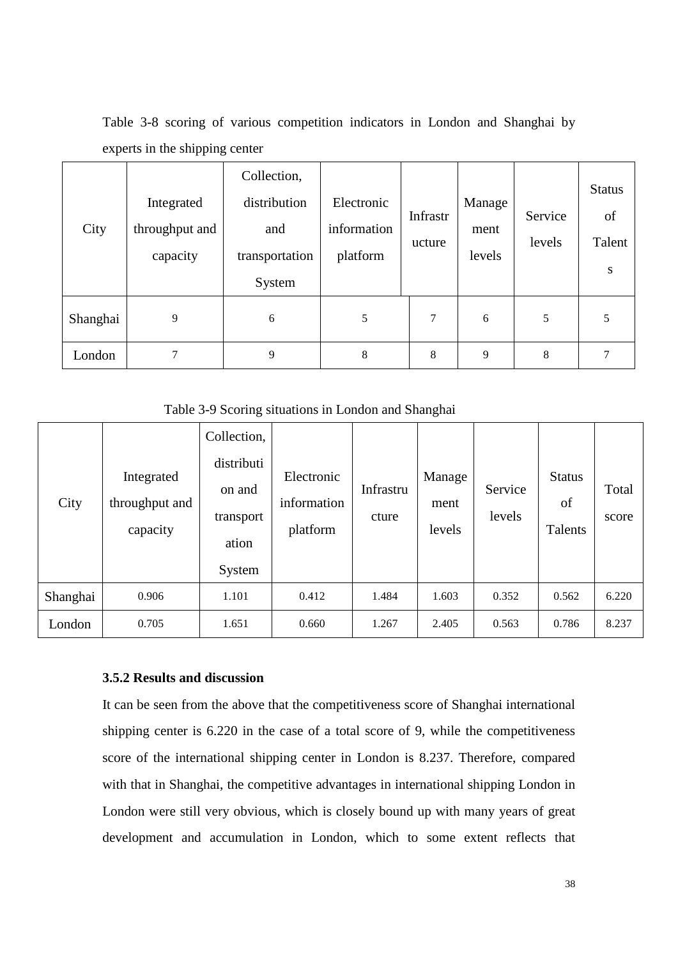| City     | Integrated<br>throughput and<br>capacity | Collection,<br>distribution<br>and<br>transportation<br>System | Electronic<br>information<br>platform | Infrastr<br>ucture | Manage<br>ment<br>levels | Service<br>levels | <b>Status</b><br>of<br>Talent<br>S |
|----------|------------------------------------------|----------------------------------------------------------------|---------------------------------------|--------------------|--------------------------|-------------------|------------------------------------|
| Shanghai | 9                                        | 6                                                              | 5                                     | 7                  | 6                        | 5                 | 5                                  |
| London   | 7                                        | 9                                                              | 8                                     | 8                  | 9                        | 8                 |                                    |

Table 3-8 scoring of various competition indicators in London and Shanghai by experts in the shipping center

Table 3-9 Scoring situations in London and Shanghai

|          |                                          | Collection,                                |                                       |                    |                          |                   |                                |                |
|----------|------------------------------------------|--------------------------------------------|---------------------------------------|--------------------|--------------------------|-------------------|--------------------------------|----------------|
| City     | Integrated<br>throughput and<br>capacity | distributi<br>on and<br>transport<br>ation | Electronic<br>information<br>platform | Infrastru<br>cture | Manage<br>ment<br>levels | Service<br>levels | <b>Status</b><br>of<br>Talents | Total<br>score |
|          |                                          | System                                     |                                       |                    |                          |                   |                                |                |
| Shanghai | 0.906                                    | 1.101                                      | 0.412                                 | 1.484              | 1.603                    | 0.352             | 0.562                          | 6.220          |
| London   | 0.705                                    | 1.651                                      | 0.660                                 | 1.267              | 2.405                    | 0.563             | 0.786                          | 8.237          |

#### **3.5.2 Results and discussion**

It can be seen from the above that the competitiveness score of Shanghai international shipping center is 6.220 in the case of a total score of 9, while the competitiveness score of the international shipping center in London is 8.237. Therefore, compared with that in Shanghai, the competitive advantages in international shipping London in London were still very obvious, which is closely bound up with many years of great development and accumulation in London, which to some extent reflects that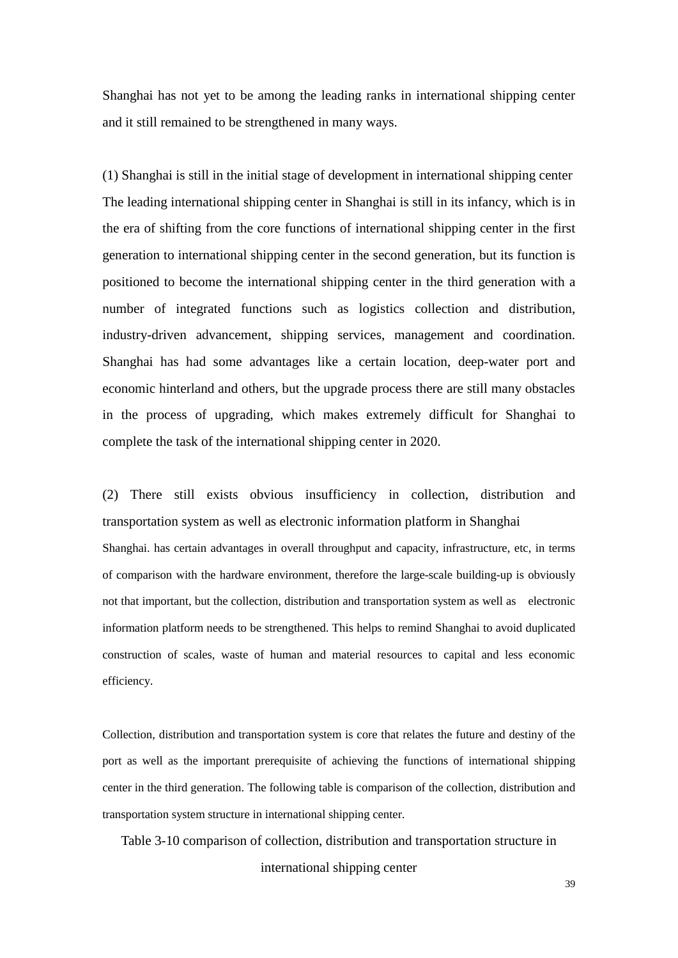Shanghai has not yet to be among the leading ranks in international shipping center and it still remained to be strengthened in many ways.

(1) Shanghai is still in the initial stage of development in international shipping center The leading international shipping center in Shanghai is still in its infancy, which is in the era of shifting from the core functions of international shipping center in the first generation to international shipping center in the second generation, but its function is positioned to become the international shipping center in the third generation with a number of integrated functions such as logistics collection and distribution, industry-driven advancement, shipping services, management and coordination. Shanghai has had some advantages like a certain location, deep-water port and economic hinterland and others, but the upgrade process there are still many obstacles in the process of upgrading, which makes extremely difficult for Shanghai to complete the task of the international shipping center in 2020.

(2) There still exists obvious insufficiency in collection, distribution and transportation system as well as electronic information platform in Shanghai Shanghai. has certain advantages in overall throughput and capacity, infrastructure, etc, in terms of comparison with the hardware environment, therefore the large-scale building-up is obviously not that important, but the collection, distribution and transportation system as well as electronic information platform needs to be strengthened. This helps to remind Shanghai to avoid duplicated construction of scales, waste of human and material resources to capital and less economic efficiency.

Collection, distribution and transportation system is core that relates the future and destiny of the port as well as the important prerequisite of achieving the functions of international shipping center in the third generation. The following table is comparison of the collection, distribution and transportation system structure in international shipping center.

Table 3-10 comparison of collection, distribution and transportation structure in international shipping center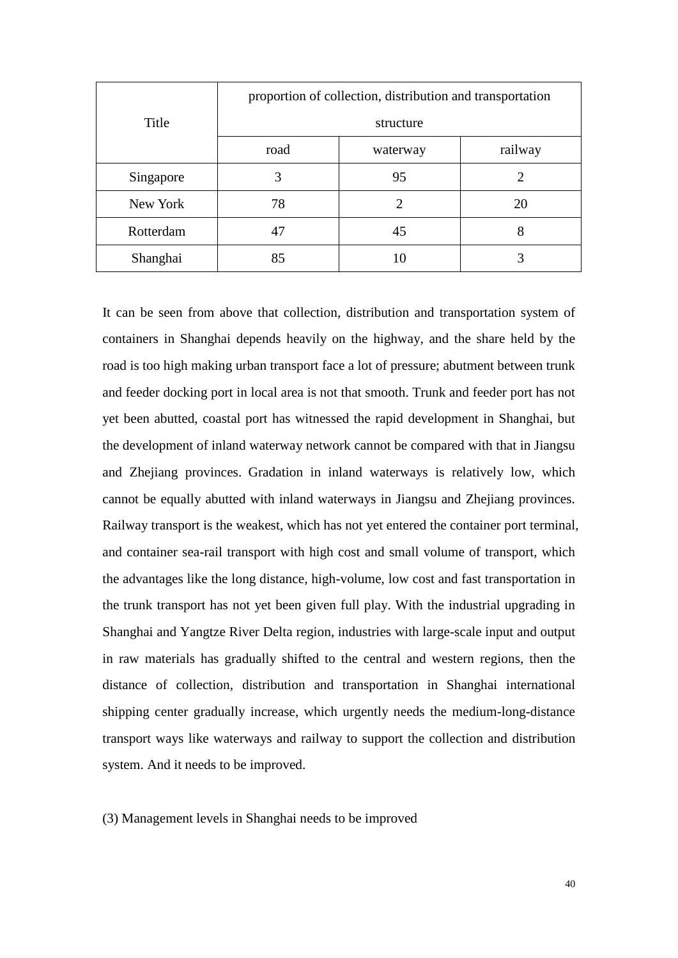|                 | proportion of collection, distribution and transportation |                             |         |  |  |  |
|-----------------|-----------------------------------------------------------|-----------------------------|---------|--|--|--|
| Title           | structure                                                 |                             |         |  |  |  |
|                 | road                                                      | waterway                    | railway |  |  |  |
| Singapore       | 3                                                         | 95                          | 2       |  |  |  |
| New York        | 78                                                        | $\mathcal{D}_{\mathcal{L}}$ | 20      |  |  |  |
| Rotterdam<br>47 |                                                           | 45                          | 8       |  |  |  |
| Shanghai<br>85  |                                                           | 10                          |         |  |  |  |

It can be seen from above that collection, distribution and transportation system of containers in Shanghai depends heavily on the highway, and the share held by the road is too high making urban transport face a lot of pressure; abutment between trunk and feeder docking port in local area is not that smooth. Trunk and feeder port has not yet been abutted, coastal port has witnessed the rapid development in Shanghai, but the development of inland waterway network cannot be compared with that in Jiangsu and Zhejiang provinces. Gradation in inland waterways is relatively low, which cannot be equally abutted with inland waterways in Jiangsu and Zhejiang provinces. Railway transport is the weakest, which has not yet entered the container port terminal, and container sea-rail transport with high cost and small volume of transport, which the advantages like the long distance, high-volume, low cost and fast transportation in the trunk transport has not yet been given full play. With the industrial upgrading in Shanghai and Yangtze River Delta region, industries with large-scale input and output in raw materials has gradually shifted to the central and western regions, then the distance of collection, distribution and transportation in Shanghai international shipping center gradually increase, which urgently needs the medium-long-distance transport ways like waterways and railway to support the collection and distribution system. And it needs to be improved.

(3) Management levels in Shanghai needs to be improved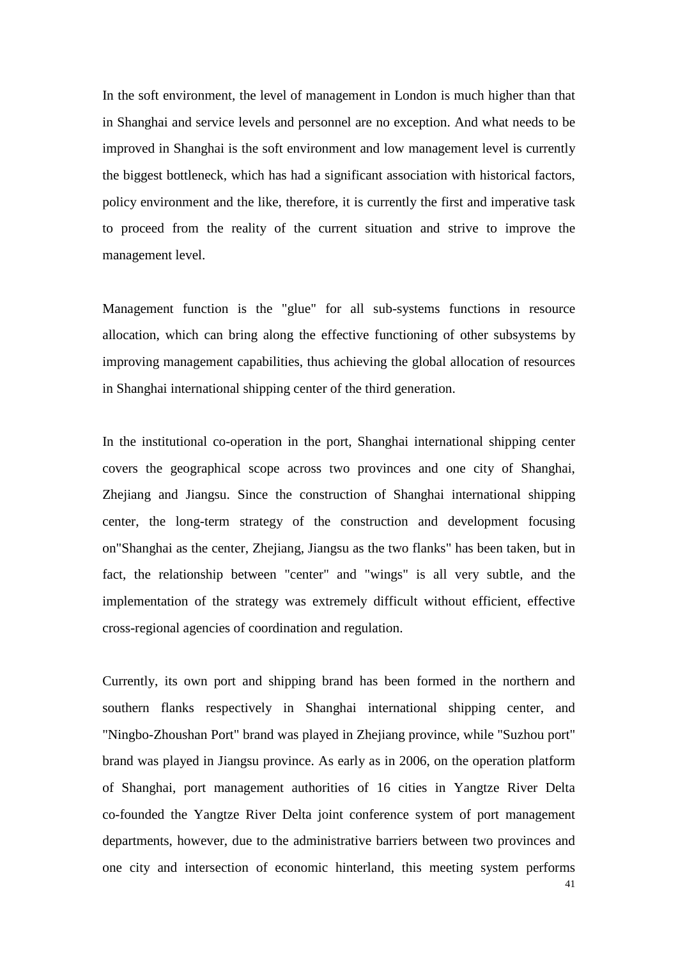In the soft environment, the level of management in London is much higher than that in Shanghai and service levels and personnel are no exception. And what needs to be improved in Shanghai is the soft environment and low management level is currently the biggest bottleneck, which has had a significant association with historical factors, policy environment and the like, therefore, it is currently the first and imperative task to proceed from the reality of the current situation and strive to improve the management level.

Management function is the "glue" for all sub-systems functions in resource allocation, which can bring along the effective functioning of other subsystems by improving management capabilities, thus achieving the global allocation of resources in Shanghai international shipping center of the third generation.

In the institutional co-operation in the port, Shanghai international shipping center covers the geographical scope across two provinces and one city of Shanghai, Zhejiang and Jiangsu. Since the construction of Shanghai international shipping center, the long-term strategy of the construction and development focusing on"Shanghai as the center, Zhejiang, Jiangsu as the two flanks" has been taken, but in fact, the relationship between "center" and "wings" is all very subtle, and the implementation of the strategy was extremely difficult without efficient, effective cross-regional agencies of coordination and regulation.

Currently, its own port and shipping brand has been formed in the northern and southern flanks respectively in Shanghai international shipping center, and "Ningbo-Zhoushan Port" brand was played in Zhejiang province, while "Suzhou port" brand was played in Jiangsu province. As early as in 2006, on the operation platform of Shanghai, port management authorities of 16 cities in Yangtze River Delta co-founded the Yangtze River Delta joint conference system of port management departments, however, due to the administrative barriers between two provinces and one city and intersection of economic hinterland, this meeting system performs

41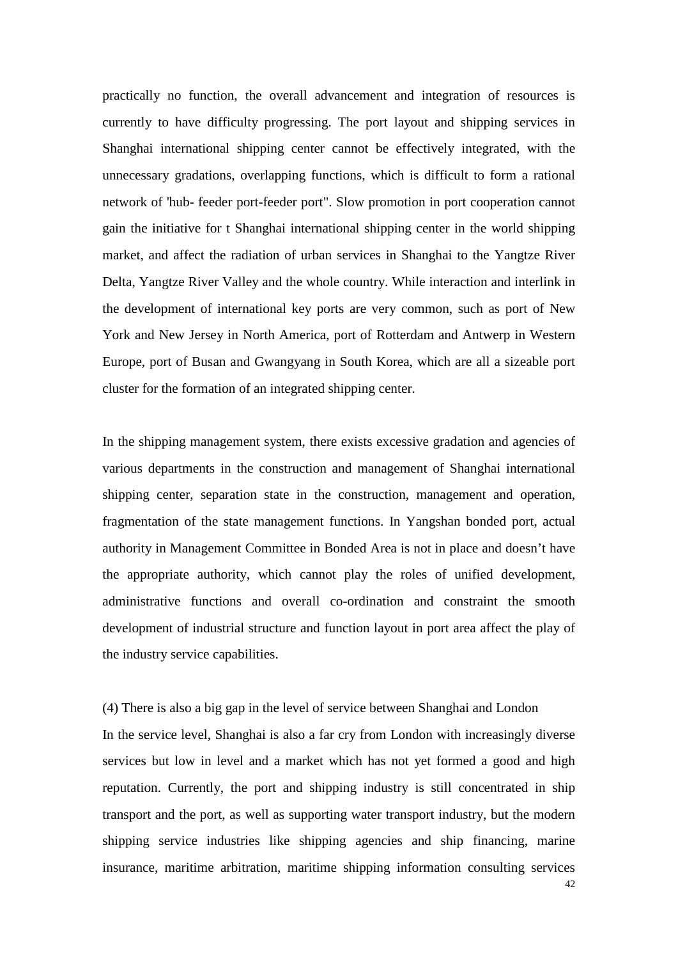practically no function, the overall advancement and integration of resources is currently to have difficulty progressing. The port layout and shipping services in Shanghai international shipping center cannot be effectively integrated, with the unnecessary gradations, overlapping functions, which is difficult to form a rational network of 'hub- feeder port-feeder port". Slow promotion in port cooperation cannot gain the initiative for t Shanghai international shipping center in the world shipping market, and affect the radiation of urban services in Shanghai to the Yangtze River Delta, Yangtze River Valley and the whole country. While interaction and interlink in the development of international key ports are very common, such as port of New York and New Jersey in North America, port of Rotterdam and Antwerp in Western Europe, port of Busan and Gwangyang in South Korea, which are all a sizeable port cluster for the formation of an integrated shipping center.

In the shipping management system, there exists excessive gradation and agencies of various departments in the construction and management of Shanghai international shipping center, separation state in the construction, management and operation, fragmentation of the state management functions. In Yangshan bonded port, actual authority in Management Committee in Bonded Area is not in place and doesn't have the appropriate authority, which cannot play the roles of unified development, administrative functions and overall co-ordination and constraint the smooth development of industrial structure and function layout in port area affect the play of the industry service capabilities.

(4) There is also a big gap in the level of service between Shanghai and London In the service level, Shanghai is also a far cry from London with increasingly diverse services but low in level and a market which has not yet formed a good and high reputation. Currently, the port and shipping industry is still concentrated in ship transport and the port, as well as supporting water transport industry, but the modern shipping service industries like shipping agencies and ship financing, marine insurance, maritime arbitration, maritime shipping information consulting services

42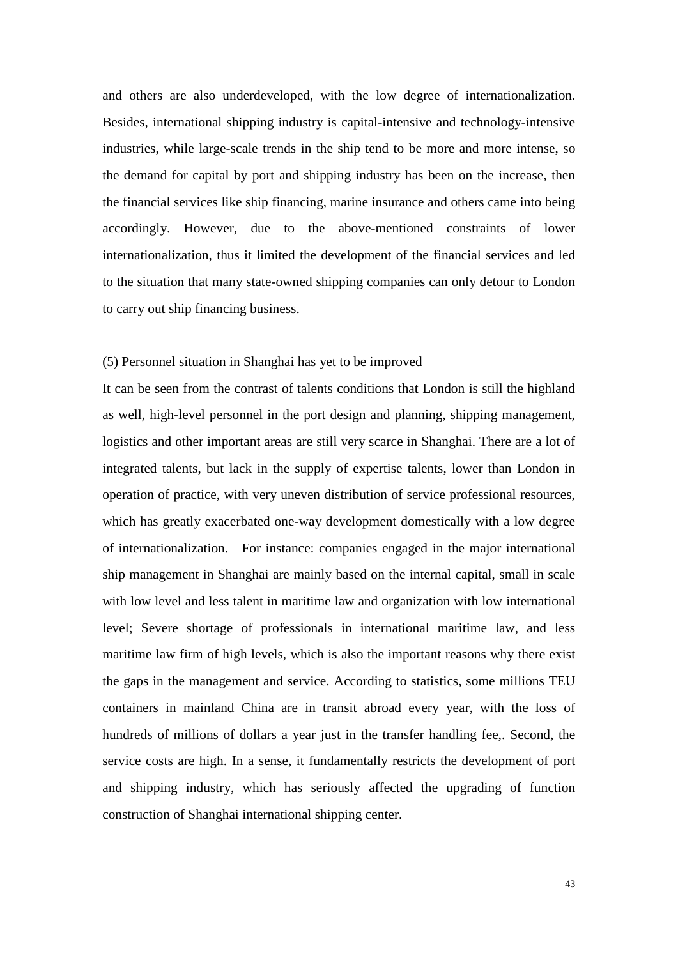and others are also underdeveloped, with the low degree of internationalization. Besides, international shipping industry is capital-intensive and technology-intensive industries, while large-scale trends in the ship tend to be more and more intense, so the demand for capital by port and shipping industry has been on the increase, then the financial services like ship financing, marine insurance and others came into being accordingly. However, due to the above-mentioned constraints of lower internationalization, thus it limited the development of the financial services and led to the situation that many state-owned shipping companies can only detour to London to carry out ship financing business.

#### (5) Personnel situation in Shanghai has yet to be improved

It can be seen from the contrast of talents conditions that London is still the highland as well, high-level personnel in the port design and planning, shipping management, logistics and other important areas are still very scarce in Shanghai. There are a lot of integrated talents, but lack in the supply of expertise talents, lower than London in operation of practice, with very uneven distribution of service professional resources, which has greatly exacerbated one-way development domestically with a low degree of internationalization. For instance: companies engaged in the major international ship management in Shanghai are mainly based on the internal capital, small in scale with low level and less talent in maritime law and organization with low international level; Severe shortage of professionals in international maritime law, and less maritime law firm of high levels, which is also the important reasons why there exist the gaps in the management and service. According to statistics, some millions TEU containers in mainland China are in transit abroad every year, with the loss of hundreds of millions of dollars a year just in the transfer handling fee,. Second, the service costs are high. In a sense, it fundamentally restricts the development of port and shipping industry, which has seriously affected the upgrading of function construction of Shanghai international shipping center.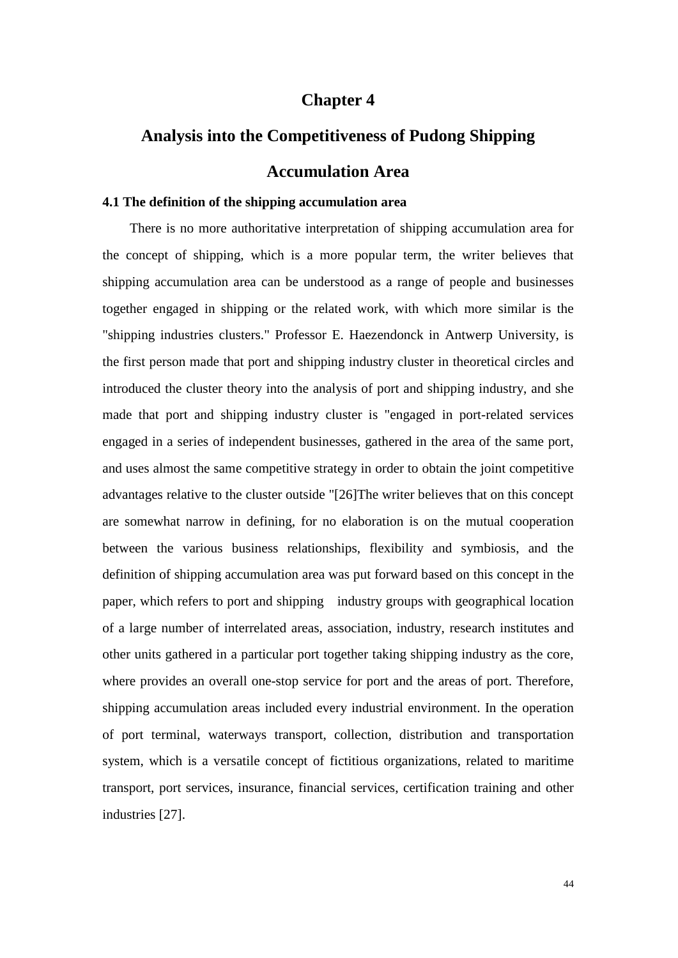#### **Chapter 4**

# **Analysis into the Competitiveness of Pudong Shipping Accumulation Area**

#### **4.1 The definition of the shipping accumulation area**

There is no more authoritative interpretation of shipping accumulation area for the concept of shipping, which is a more popular term, the writer believes that shipping accumulation area can be understood as a range of people and businesses together engaged in shipping or the related work, with which more similar is the "shipping industries clusters." Professor E. Haezendonck in Antwerp University, is the first person made that port and shipping industry cluster in theoretical circles and introduced the cluster theory into the analysis of port and shipping industry, and she made that port and shipping industry cluster is "engaged in port-related services engaged in a series of independent businesses, gathered in the area of the same port, and uses almost the same competitive strategy in order to obtain the joint competitive advantages relative to the cluster outside "[26]The writer believes that on this concept are somewhat narrow in defining, for no elaboration is on the mutual cooperation between the various business relationships, flexibility and symbiosis, and the definition of shipping accumulation area was put forward based on this concept in the paper, which refers to port and shipping industry groups with geographical location of a large number of interrelated areas, association, industry, research institutes and other units gathered in a particular port together taking shipping industry as the core, where provides an overall one-stop service for port and the areas of port. Therefore, shipping accumulation areas included every industrial environment. In the operation of port terminal, waterways transport, collection, distribution and transportation system, which is a versatile concept of fictitious organizations, related to maritime transport, port services, insurance, financial services, certification training and other industries [27].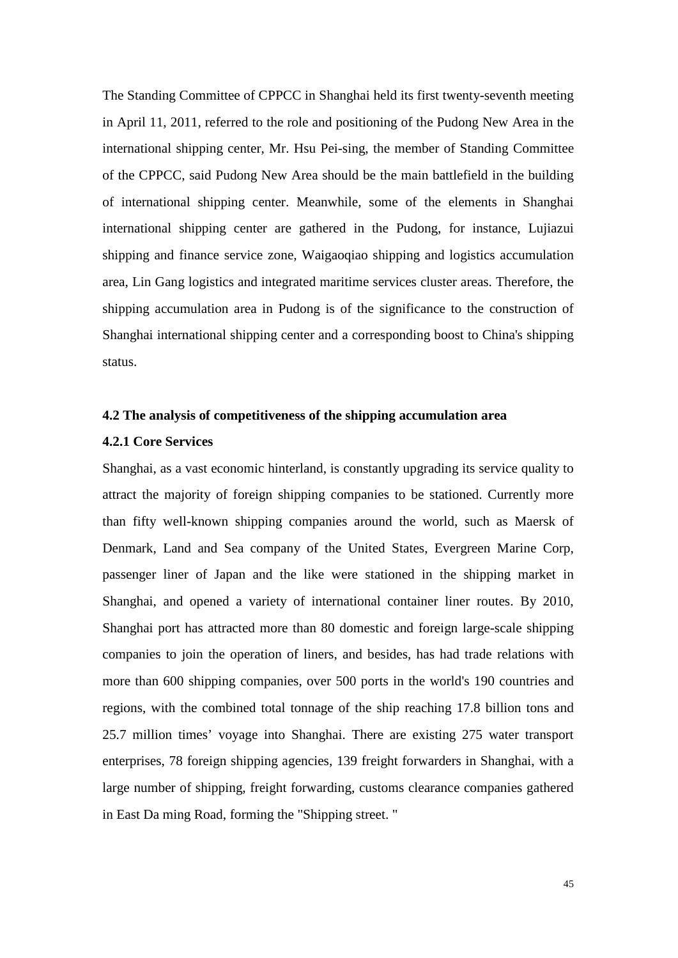The Standing Committee of CPPCC in Shanghai held its first twenty-seventh meeting in April 11, 2011, referred to the role and positioning of the Pudong New Area in the international shipping center, Mr. Hsu Pei-sing, the member of Standing Committee of the CPPCC, said Pudong New Area should be the main battlefield in the building of international shipping center. Meanwhile, some of the elements in Shanghai international shipping center are gathered in the Pudong, for instance, Lujiazui shipping and finance service zone, Waigaoqiao shipping and logistics accumulation area, Lin Gang logistics and integrated maritime services cluster areas. Therefore, the shipping accumulation area in Pudong is of the significance to the construction of Shanghai international shipping center and a corresponding boost to China's shipping status.

#### **4.2 The analysis of competitiveness of the shipping accumulation area**

#### **4.2.1 Core Services**

Shanghai, as a vast economic hinterland, is constantly upgrading its service quality to attract the majority of foreign shipping companies to be stationed. Currently more than fifty well-known shipping companies around the world, such as Maersk of Denmark, Land and Sea company of the United States, Evergreen Marine Corp, passenger liner of Japan and the like were stationed in the shipping market in Shanghai, and opened a variety of international container liner routes. By 2010, Shanghai port has attracted more than 80 domestic and foreign large-scale shipping companies to join the operation of liners, and besides, has had trade relations with more than 600 shipping companies, over 500 ports in the world's 190 countries and regions, with the combined total tonnage of the ship reaching 17.8 billion tons and 25.7 million times' voyage into Shanghai. There are existing 275 water transport enterprises, 78 foreign shipping agencies, 139 freight forwarders in Shanghai, with a large number of shipping, freight forwarding, customs clearance companies gathered in East Da ming Road, forming the "Shipping street. "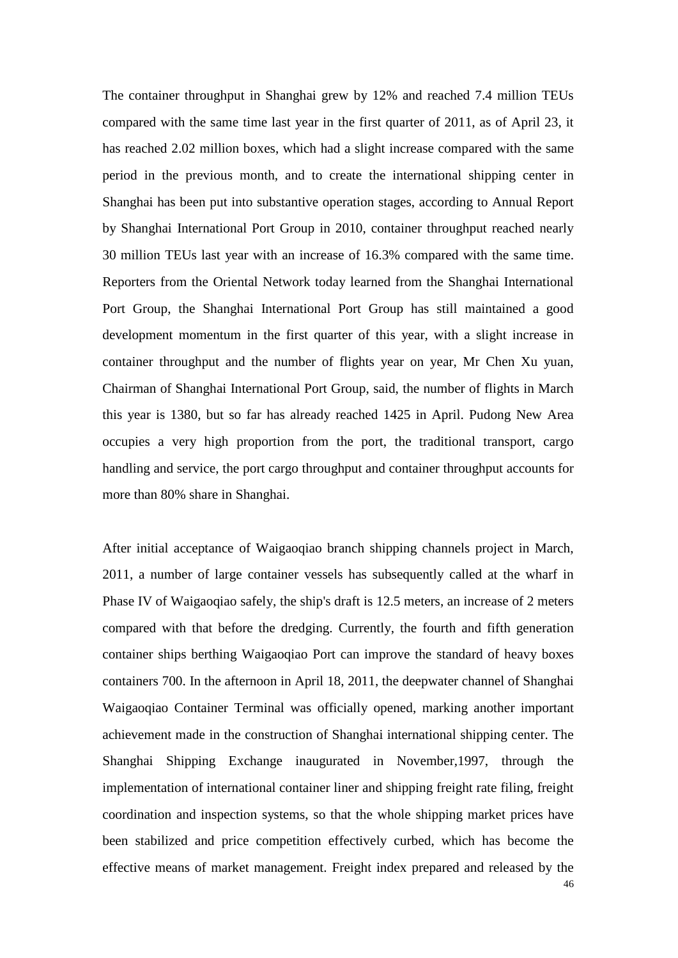The container throughput in Shanghai grew by 12% and reached 7.4 million TEUs compared with the same time last year in the first quarter of 2011, as of April 23, it has reached 2.02 million boxes, which had a slight increase compared with the same period in the previous month, and to create the international shipping center in Shanghai has been put into substantive operation stages, according to Annual Report by Shanghai International Port Group in 2010, container throughput reached nearly 30 million TEUs last year with an increase of 16.3% compared with the same time. Reporters from the Oriental Network today learned from the Shanghai International Port Group, the Shanghai International Port Group has still maintained a good development momentum in the first quarter of this year, with a slight increase in container throughput and the number of flights year on year, Mr Chen Xu yuan, Chairman of Shanghai International Port Group, said, the number of flights in March this year is 1380, but so far has already reached 1425 in April. Pudong New Area occupies a very high proportion from the port, the traditional transport, cargo handling and service, the port cargo throughput and container throughput accounts for more than 80% share in Shanghai.

After initial acceptance of Waigaoqiao branch shipping channels project in March, 2011, a number of large container vessels has subsequently called at the wharf in Phase IV of Waigaoqiao safely, the ship's draft is 12.5 meters, an increase of 2 meters compared with that before the dredging. Currently, the fourth and fifth generation container ships berthing Waigaoqiao Port can improve the standard of heavy boxes containers 700. In the afternoon in April 18, 2011, the deepwater channel of Shanghai Waigaoqiao Container Terminal was officially opened, marking another important achievement made in the construction of Shanghai international shipping center. The Shanghai Shipping Exchange inaugurated in November,1997, through the implementation of international container liner and shipping freight rate filing, freight coordination and inspection systems, so that the whole shipping market prices have been stabilized and price competition effectively curbed, which has become the effective means of market management. Freight index prepared and released by the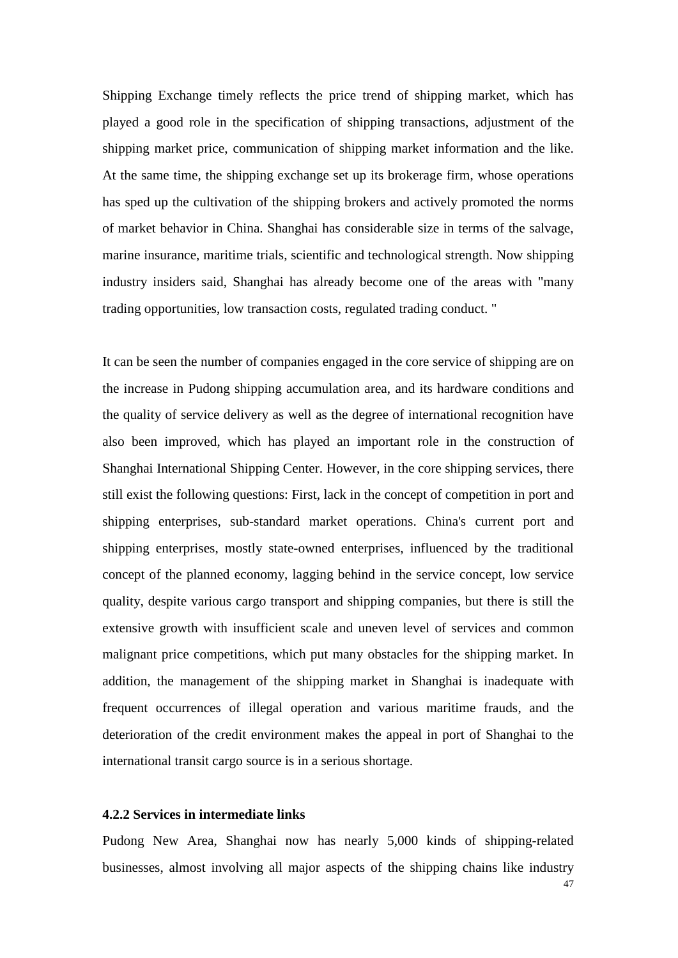Shipping Exchange timely reflects the price trend of shipping market, which has played a good role in the specification of shipping transactions, adjustment of the shipping market price, communication of shipping market information and the like. At the same time, the shipping exchange set up its brokerage firm, whose operations has sped up the cultivation of the shipping brokers and actively promoted the norms of market behavior in China. Shanghai has considerable size in terms of the salvage, marine insurance, maritime trials, scientific and technological strength. Now shipping industry insiders said, Shanghai has already become one of the areas with "many trading opportunities, low transaction costs, regulated trading conduct. "

It can be seen the number of companies engaged in the core service of shipping are on the increase in Pudong shipping accumulation area, and its hardware conditions and the quality of service delivery as well as the degree of international recognition have also been improved, which has played an important role in the construction of Shanghai International Shipping Center. However, in the core shipping services, there still exist the following questions: First, lack in the concept of competition in port and shipping enterprises, sub-standard market operations. China's current port and shipping enterprises, mostly state-owned enterprises, influenced by the traditional concept of the planned economy, lagging behind in the service concept, low service quality, despite various cargo transport and shipping companies, but there is still the extensive growth with insufficient scale and uneven level of services and common malignant price competitions, which put many obstacles for the shipping market. In addition, the management of the shipping market in Shanghai is inadequate with frequent occurrences of illegal operation and various maritime frauds, and the deterioration of the credit environment makes the appeal in port of Shanghai to the international transit cargo source is in a serious shortage.

#### **4.2.2 Services in intermediate links**

Pudong New Area, Shanghai now has nearly 5,000 kinds of shipping-related businesses, almost involving all major aspects of the shipping chains like industry

47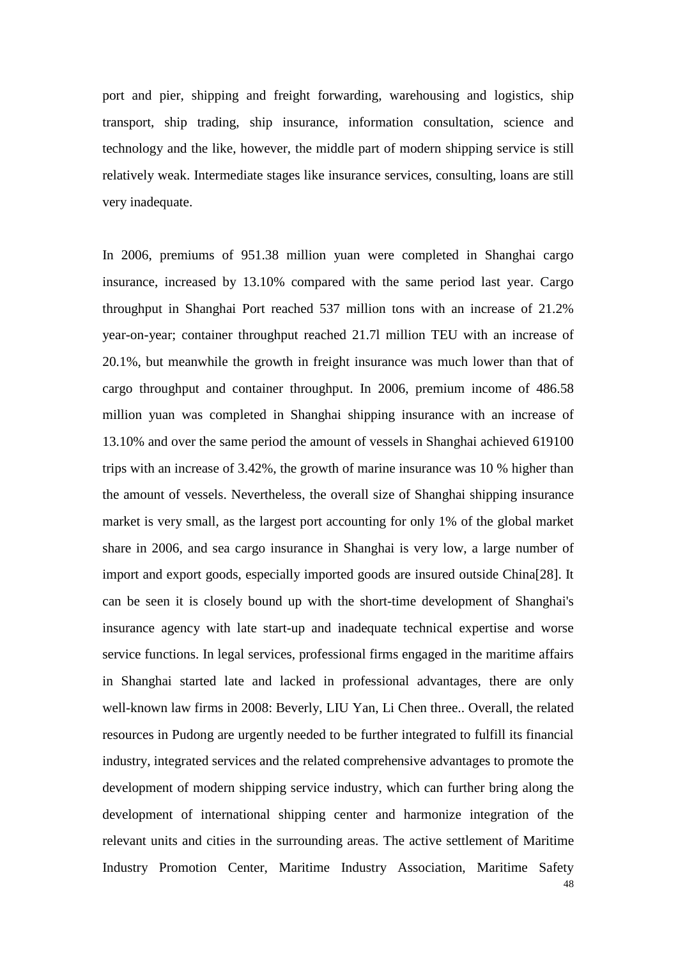port and pier, shipping and freight forwarding, warehousing and logistics, ship transport, ship trading, ship insurance, information consultation, science and technology and the like, however, the middle part of modern shipping service is still relatively weak. Intermediate stages like insurance services, consulting, loans are still very inadequate.

In 2006, premiums of 951.38 million yuan were completed in Shanghai cargo insurance, increased by 13.10% compared with the same period last year. Cargo throughput in Shanghai Port reached 537 million tons with an increase of 21.2% year-on-year; container throughput reached 21.7l million TEU with an increase of 20.1%, but meanwhile the growth in freight insurance was much lower than that of cargo throughput and container throughput. In 2006, premium income of 486.58 million yuan was completed in Shanghai shipping insurance with an increase of 13.10% and over the same period the amount of vessels in Shanghai achieved 619100 trips with an increase of 3.42%, the growth of marine insurance was 10 % higher than the amount of vessels. Nevertheless, the overall size of Shanghai shipping insurance market is very small, as the largest port accounting for only 1% of the global market share in 2006, and sea cargo insurance in Shanghai is very low, a large number of import and export goods, especially imported goods are insured outside China[28]. It can be seen it is closely bound up with the short-time development of Shanghai's insurance agency with late start-up and inadequate technical expertise and worse service functions. In legal services, professional firms engaged in the maritime affairs in Shanghai started late and lacked in professional advantages, there are only well-known law firms in 2008: Beverly, LIU Yan, Li Chen three.. Overall, the related resources in Pudong are urgently needed to be further integrated to fulfill its financial industry, integrated services and the related comprehensive advantages to promote the development of modern shipping service industry, which can further bring along the development of international shipping center and harmonize integration of the relevant units and cities in the surrounding areas. The active settlement of Maritime Industry Promotion Center, Maritime Industry Association, Maritime Safety

48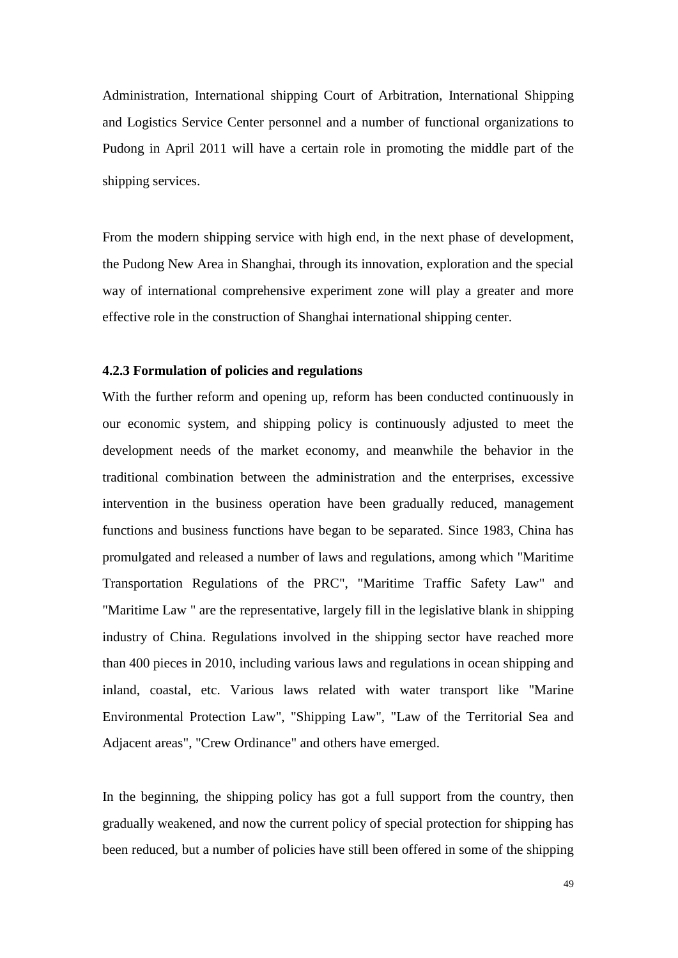Administration, International shipping Court of Arbitration, International Shipping and Logistics Service Center personnel and a number of functional organizations to Pudong in April 2011 will have a certain role in promoting the middle part of the shipping services.

From the modern shipping service with high end, in the next phase of development, the Pudong New Area in Shanghai, through its innovation, exploration and the special way of international comprehensive experiment zone will play a greater and more effective role in the construction of Shanghai international shipping center.

#### **4.2.3 Formulation of policies and regulations**

With the further reform and opening up, reform has been conducted continuously in our economic system, and shipping policy is continuously adjusted to meet the development needs of the market economy, and meanwhile the behavior in the traditional combination between the administration and the enterprises, excessive intervention in the business operation have been gradually reduced, management functions and business functions have began to be separated. Since 1983, China has promulgated and released a number of laws and regulations, among which "Maritime Transportation Regulations of the PRC", "Maritime Traffic Safety Law" and "Maritime Law " are the representative, largely fill in the legislative blank in shipping industry of China. Regulations involved in the shipping sector have reached more than 400 pieces in 2010, including various laws and regulations in ocean shipping and inland, coastal, etc. Various laws related with water transport like "Marine Environmental Protection Law", "Shipping Law", "Law of the Territorial Sea and Adjacent areas", "Crew Ordinance" and others have emerged.

In the beginning, the shipping policy has got a full support from the country, then gradually weakened, and now the current policy of special protection for shipping has been reduced, but a number of policies have still been offered in some of the shipping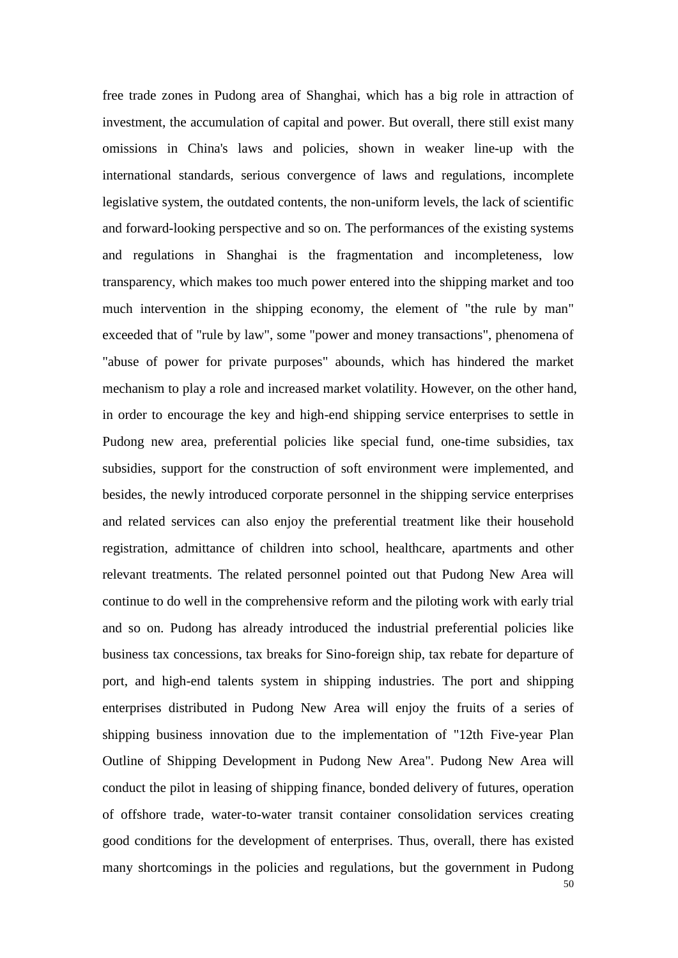50 free trade zones in Pudong area of Shanghai, which has a big role in attraction of investment, the accumulation of capital and power. But overall, there still exist many omissions in China's laws and policies, shown in weaker line-up with the international standards, serious convergence of laws and regulations, incomplete legislative system, the outdated contents, the non-uniform levels, the lack of scientific and forward-looking perspective and so on. The performances of the existing systems and regulations in Shanghai is the fragmentation and incompleteness, low transparency, which makes too much power entered into the shipping market and too much intervention in the shipping economy, the element of "the rule by man" exceeded that of "rule by law", some "power and money transactions", phenomena of "abuse of power for private purposes" abounds, which has hindered the market mechanism to play a role and increased market volatility. However, on the other hand, in order to encourage the key and high-end shipping service enterprises to settle in Pudong new area, preferential policies like special fund, one-time subsidies, tax subsidies, support for the construction of soft environment were implemented, and besides, the newly introduced corporate personnel in the shipping service enterprises and related services can also enjoy the preferential treatment like their household registration, admittance of children into school, healthcare, apartments and other relevant treatments. The related personnel pointed out that Pudong New Area will continue to do well in the comprehensive reform and the piloting work with early trial and so on. Pudong has already introduced the industrial preferential policies like business tax concessions, tax breaks for Sino-foreign ship, tax rebate for departure of port, and high-end talents system in shipping industries. The port and shipping enterprises distributed in Pudong New Area will enjoy the fruits of a series of shipping business innovation due to the implementation of "12th Five-year Plan Outline of Shipping Development in Pudong New Area". Pudong New Area will conduct the pilot in leasing of shipping finance, bonded delivery of futures, operation of offshore trade, water-to-water transit container consolidation services creating good conditions for the development of enterprises. Thus, overall, there has existed many shortcomings in the policies and regulations, but the government in Pudong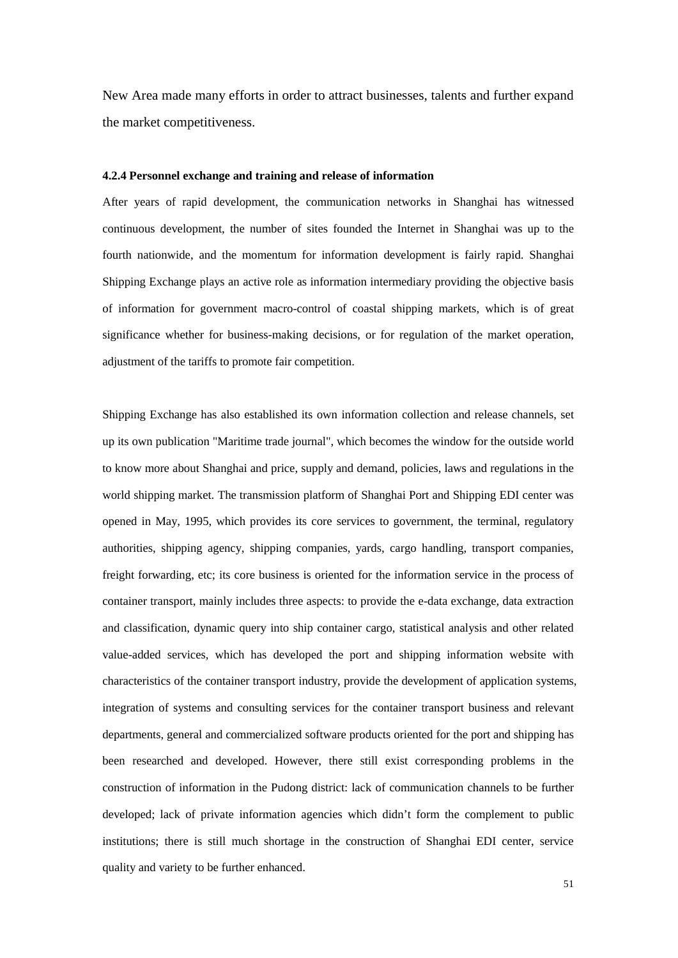New Area made many efforts in order to attract businesses, talents and further expand the market competitiveness.

#### **4.2.4 Personnel exchange and training and release of information**

After years of rapid development, the communication networks in Shanghai has witnessed continuous development, the number of sites founded the Internet in Shanghai was up to the fourth nationwide, and the momentum for information development is fairly rapid. Shanghai Shipping Exchange plays an active role as information intermediary providing the objective basis of information for government macro-control of coastal shipping markets, which is of great significance whether for business-making decisions, or for regulation of the market operation, adjustment of the tariffs to promote fair competition.

Shipping Exchange has also established its own information collection and release channels, set up its own publication "Maritime trade journal", which becomes the window for the outside world to know more about Shanghai and price, supply and demand, policies, laws and regulations in the world shipping market. The transmission platform of Shanghai Port and Shipping EDI center was opened in May, 1995, which provides its core services to government, the terminal, regulatory authorities, shipping agency, shipping companies, yards, cargo handling, transport companies, freight forwarding, etc; its core business is oriented for the information service in the process of container transport, mainly includes three aspects: to provide the e-data exchange, data extraction and classification, dynamic query into ship container cargo, statistical analysis and other related value-added services, which has developed the port and shipping information website with characteristics of the container transport industry, provide the development of application systems, integration of systems and consulting services for the container transport business and relevant departments, general and commercialized software products oriented for the port and shipping has been researched and developed. However, there still exist corresponding problems in the construction of information in the Pudong district: lack of communication channels to be further developed; lack of private information agencies which didn't form the complement to public institutions; there is still much shortage in the construction of Shanghai EDI center, service quality and variety to be further enhanced.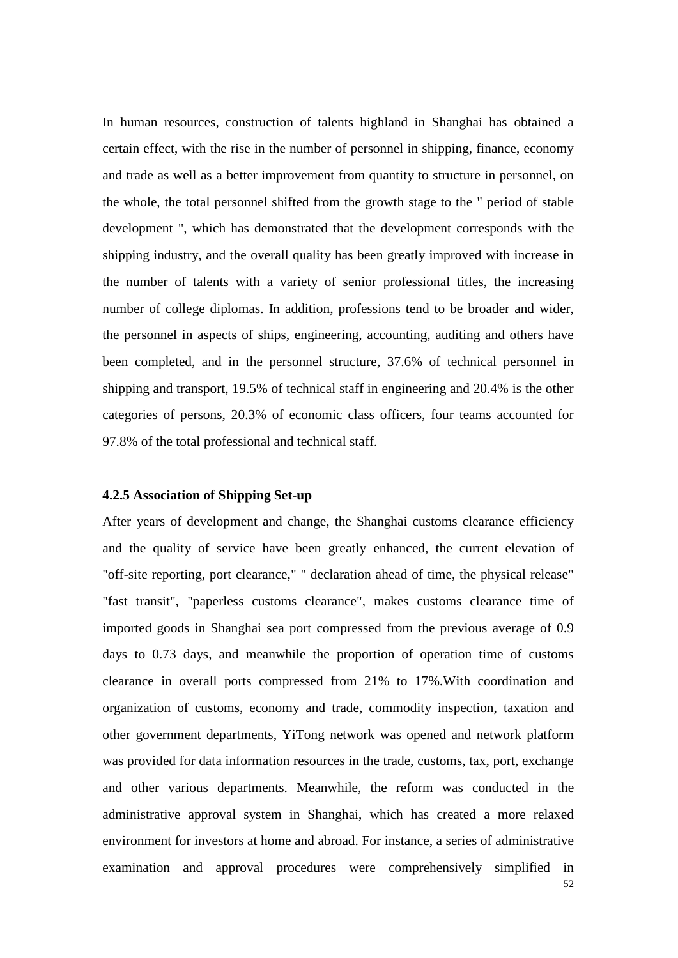In human resources, construction of talents highland in Shanghai has obtained a certain effect, with the rise in the number of personnel in shipping, finance, economy and trade as well as a better improvement from quantity to structure in personnel, on the whole, the total personnel shifted from the growth stage to the " period of stable development ", which has demonstrated that the development corresponds with the shipping industry, and the overall quality has been greatly improved with increase in the number of talents with a variety of senior professional titles, the increasing number of college diplomas. In addition, professions tend to be broader and wider, the personnel in aspects of ships, engineering, accounting, auditing and others have been completed, and in the personnel structure, 37.6% of technical personnel in shipping and transport, 19.5% of technical staff in engineering and 20.4% is the other categories of persons, 20.3% of economic class officers, four teams accounted for 97.8% of the total professional and technical staff.

#### **4.2.5 Association of Shipping Set-up**

After years of development and change, the Shanghai customs clearance efficiency and the quality of service have been greatly enhanced, the current elevation of "off-site reporting, port clearance," " declaration ahead of time, the physical release" "fast transit", "paperless customs clearance", makes customs clearance time of imported goods in Shanghai sea port compressed from the previous average of 0.9 days to 0.73 days, and meanwhile the proportion of operation time of customs clearance in overall ports compressed from 21% to 17%.With coordination and organization of customs, economy and trade, commodity inspection, taxation and other government departments, YiTong network was opened and network platform was provided for data information resources in the trade, customs, tax, port, exchange and other various departments. Meanwhile, the reform was conducted in the administrative approval system in Shanghai, which has created a more relaxed environment for investors at home and abroad. For instance, a series of administrative examination and approval procedures were comprehensively simplified in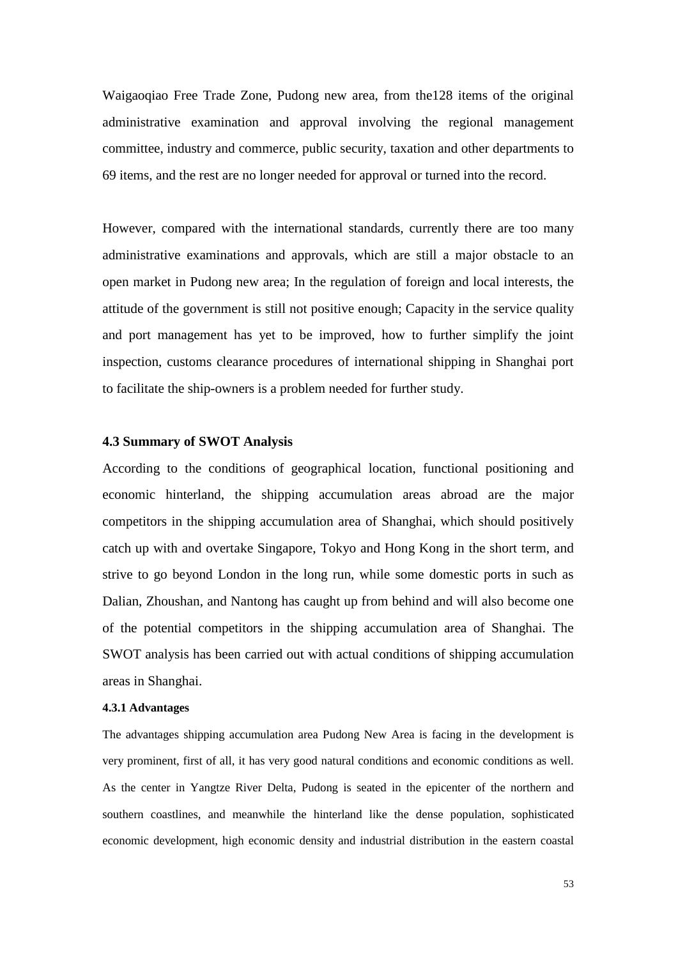Waigaoqiao Free Trade Zone, Pudong new area, from the128 items of the original administrative examination and approval involving the regional management committee, industry and commerce, public security, taxation and other departments to 69 items, and the rest are no longer needed for approval or turned into the record.

However, compared with the international standards, currently there are too many administrative examinations and approvals, which are still a major obstacle to an open market in Pudong new area; In the regulation of foreign and local interests, the attitude of the government is still not positive enough; Capacity in the service quality and port management has yet to be improved, how to further simplify the joint inspection, customs clearance procedures of international shipping in Shanghai port to facilitate the ship-owners is a problem needed for further study.

#### **4.3 Summary of SWOT Analysis**

According to the conditions of geographical location, functional positioning and economic hinterland, the shipping accumulation areas abroad are the major competitors in the shipping accumulation area of Shanghai, which should positively catch up with and overtake Singapore, Tokyo and Hong Kong in the short term, and strive to go beyond London in the long run, while some domestic ports in such as Dalian, Zhoushan, and Nantong has caught up from behind and will also become one of the potential competitors in the shipping accumulation area of Shanghai. The SWOT analysis has been carried out with actual conditions of shipping accumulation areas in Shanghai.

#### **4.3.1 Advantages**

The advantages shipping accumulation area Pudong New Area is facing in the development is very prominent, first of all, it has very good natural conditions and economic conditions as well. As the center in Yangtze River Delta, Pudong is seated in the epicenter of the northern and southern coastlines, and meanwhile the hinterland like the dense population, sophisticated economic development, high economic density and industrial distribution in the eastern coastal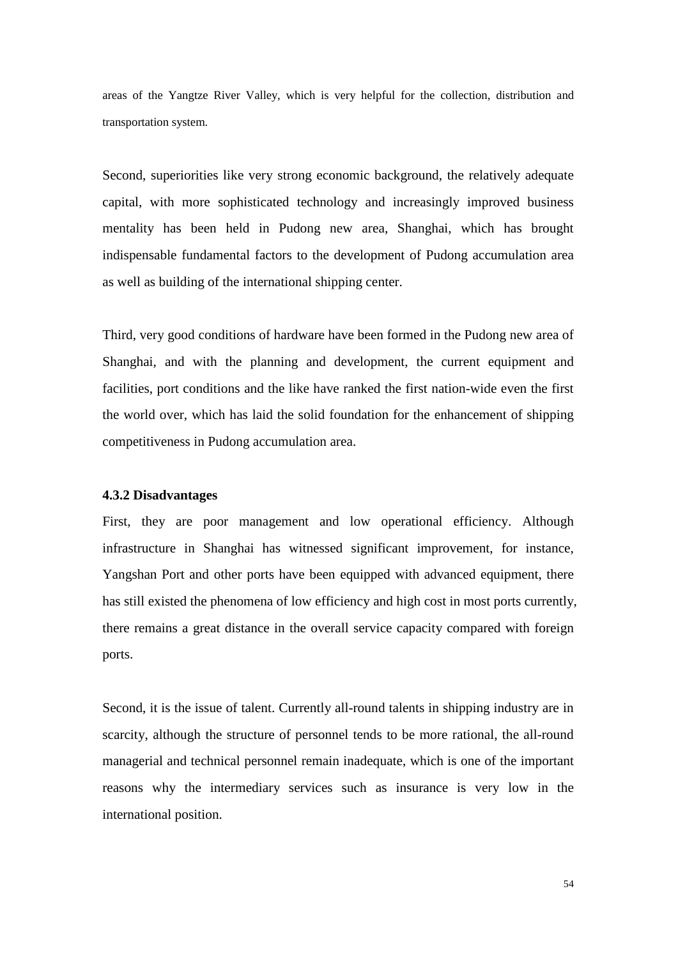areas of the Yangtze River Valley, which is very helpful for the collection, distribution and transportation system.

Second, superiorities like very strong economic background, the relatively adequate capital, with more sophisticated technology and increasingly improved business mentality has been held in Pudong new area, Shanghai, which has brought indispensable fundamental factors to the development of Pudong accumulation area as well as building of the international shipping center.

Third, very good conditions of hardware have been formed in the Pudong new area of Shanghai, and with the planning and development, the current equipment and facilities, port conditions and the like have ranked the first nation-wide even the first the world over, which has laid the solid foundation for the enhancement of shipping competitiveness in Pudong accumulation area.

#### **4.3.2 Disadvantages**

First, they are poor management and low operational efficiency. Although infrastructure in Shanghai has witnessed significant improvement, for instance, Yangshan Port and other ports have been equipped with advanced equipment, there has still existed the phenomena of low efficiency and high cost in most ports currently, there remains a great distance in the overall service capacity compared with foreign ports.

Second, it is the issue of talent. Currently all-round talents in shipping industry are in scarcity, although the structure of personnel tends to be more rational, the all-round managerial and technical personnel remain inadequate, which is one of the important reasons why the intermediary services such as insurance is very low in the international position.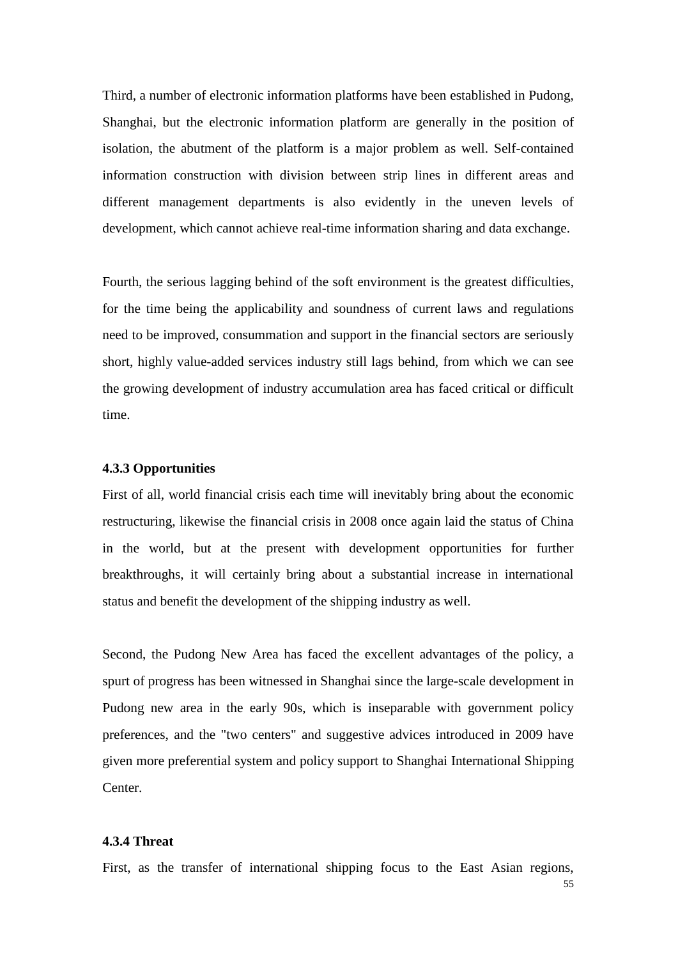Third, a number of electronic information platforms have been established in Pudong, Shanghai, but the electronic information platform are generally in the position of isolation, the abutment of the platform is a major problem as well. Self-contained information construction with division between strip lines in different areas and different management departments is also evidently in the uneven levels of development, which cannot achieve real-time information sharing and data exchange.

Fourth, the serious lagging behind of the soft environment is the greatest difficulties, for the time being the applicability and soundness of current laws and regulations need to be improved, consummation and support in the financial sectors are seriously short, highly value-added services industry still lags behind, from which we can see the growing development of industry accumulation area has faced critical or difficult time.

#### **4.3.3 Opportunities**

First of all, world financial crisis each time will inevitably bring about the economic restructuring, likewise the financial crisis in 2008 once again laid the status of China in the world, but at the present with development opportunities for further breakthroughs, it will certainly bring about a substantial increase in international status and benefit the development of the shipping industry as well.

Second, the Pudong New Area has faced the excellent advantages of the policy, a spurt of progress has been witnessed in Shanghai since the large-scale development in Pudong new area in the early 90s, which is inseparable with government policy preferences, and the "two centers" and suggestive advices introduced in 2009 have given more preferential system and policy support to Shanghai International Shipping Center.

#### **4.3.4 Threat**

First, as the transfer of international shipping focus to the East Asian regions,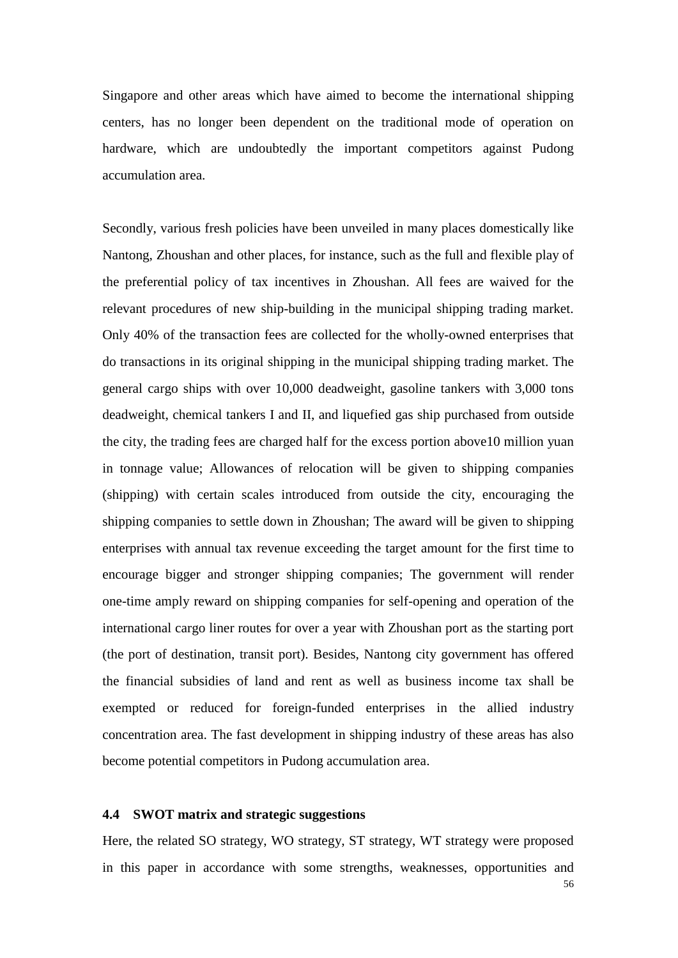Singapore and other areas which have aimed to become the international shipping centers, has no longer been dependent on the traditional mode of operation on hardware, which are undoubtedly the important competitors against Pudong accumulation area.

Secondly, various fresh policies have been unveiled in many places domestically like Nantong, Zhoushan and other places, for instance, such as the full and flexible play of the preferential policy of tax incentives in Zhoushan. All fees are waived for the relevant procedures of new ship-building in the municipal shipping trading market. Only 40% of the transaction fees are collected for the wholly-owned enterprises that do transactions in its original shipping in the municipal shipping trading market. The general cargo ships with over 10,000 deadweight, gasoline tankers with 3,000 tons deadweight, chemical tankers I and II, and liquefied gas ship purchased from outside the city, the trading fees are charged half for the excess portion above10 million yuan in tonnage value; Allowances of relocation will be given to shipping companies (shipping) with certain scales introduced from outside the city, encouraging the shipping companies to settle down in Zhoushan; The award will be given to shipping enterprises with annual tax revenue exceeding the target amount for the first time to encourage bigger and stronger shipping companies; The government will render one-time amply reward on shipping companies for self-opening and operation of the international cargo liner routes for over a year with Zhoushan port as the starting port (the port of destination, transit port). Besides, Nantong city government has offered the financial subsidies of land and rent as well as business income tax shall be exempted or reduced for foreign-funded enterprises in the allied industry concentration area. The fast development in shipping industry of these areas has also become potential competitors in Pudong accumulation area.

#### **4.4 SWOT matrix and strategic suggestions**

56 Here, the related SO strategy, WO strategy, ST strategy, WT strategy were proposed in this paper in accordance with some strengths, weaknesses, opportunities and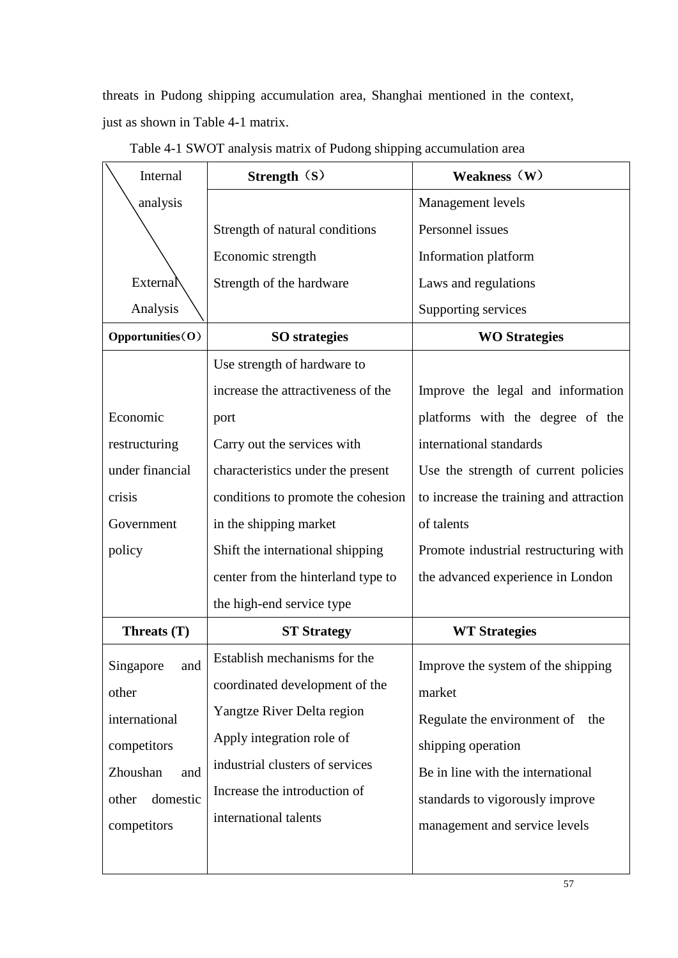threats in Pudong shipping accumulation area, Shanghai mentioned in the context, just as shown in Table 4-1 matrix.

| Internal          | Strength (S)                       | Weakness (W)                            |  |  |
|-------------------|------------------------------------|-----------------------------------------|--|--|
| analysis          |                                    | Management levels                       |  |  |
|                   | Strength of natural conditions     | Personnel issues                        |  |  |
|                   | Economic strength                  | Information platform                    |  |  |
| External          | Strength of the hardware           | Laws and regulations                    |  |  |
| Analysis          |                                    | Supporting services                     |  |  |
| Opportunities(O)  | <b>SO</b> strategies               | <b>WO Strategies</b>                    |  |  |
|                   | Use strength of hardware to        |                                         |  |  |
|                   | increase the attractiveness of the | Improve the legal and information       |  |  |
| Economic          | port                               | platforms with the degree of the        |  |  |
| restructuring     | Carry out the services with        | international standards                 |  |  |
| under financial   | characteristics under the present  | Use the strength of current policies    |  |  |
| crisis            | conditions to promote the cohesion | to increase the training and attraction |  |  |
| Government        | in the shipping market             | of talents                              |  |  |
| policy            | Shift the international shipping   | Promote industrial restructuring with   |  |  |
|                   | center from the hinterland type to | the advanced experience in London       |  |  |
|                   | the high-end service type          |                                         |  |  |
| Threats (T)       | <b>ST Strategy</b>                 | <b>WT Strategies</b>                    |  |  |
| Singapore<br>and  | Establish mechanisms for the       | Improve the system of the shipping      |  |  |
| other             | coordinated development of the     | market                                  |  |  |
| international     | Yangtze River Delta region         | Regulate the environment of<br>the      |  |  |
| competitors       | Apply integration role of          | shipping operation                      |  |  |
| Zhoushan<br>and   | industrial clusters of services    | Be in line with the international       |  |  |
| domestic<br>other | Increase the introduction of       | standards to vigorously improve         |  |  |
| competitors       | international talents              | management and service levels           |  |  |
|                   |                                    |                                         |  |  |

Table 4-1 SWOT analysis matrix of Pudong shipping accumulation area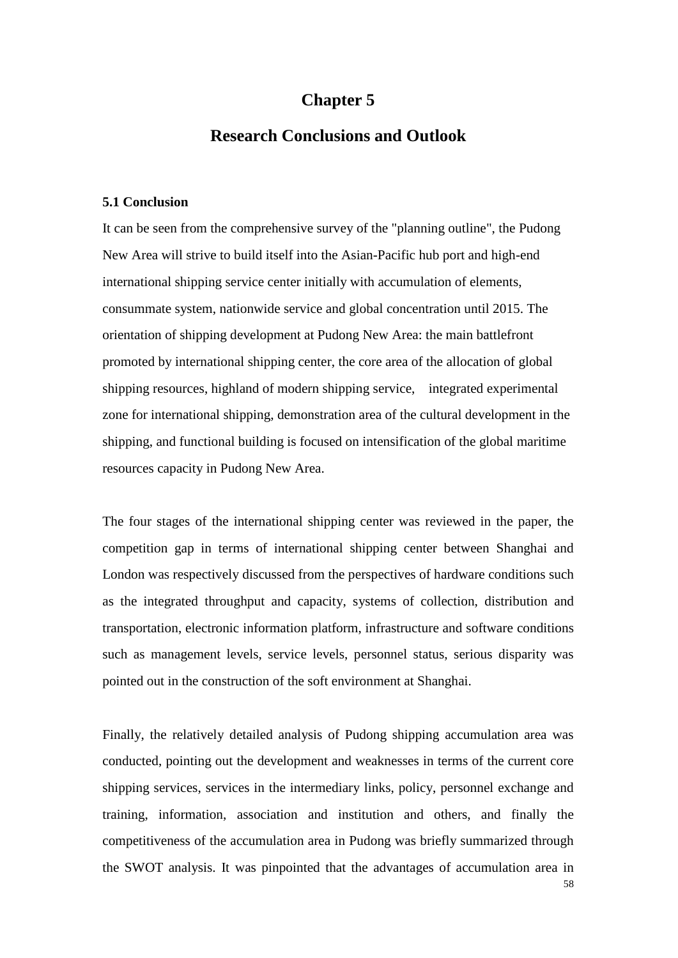### **Chapter 5**

### **Research Conclusions and Outlook**

#### **5.1 Conclusion**

It can be seen from the comprehensive survey of the "planning outline", the Pudong New Area will strive to build itself into the Asian-Pacific hub port and high-end international shipping service center initially with accumulation of elements, consummate system, nationwide service and global concentration until 2015. The orientation of shipping development at Pudong New Area: the main battlefront promoted by international shipping center, the core area of the allocation of global shipping resources, highland of modern shipping service, integrated experimental zone for international shipping, demonstration area of the cultural development in the shipping, and functional building is focused on intensification of the global maritime resources capacity in Pudong New Area.

The four stages of the international shipping center was reviewed in the paper, the competition gap in terms of international shipping center between Shanghai and London was respectively discussed from the perspectives of hardware conditions such as the integrated throughput and capacity, systems of collection, distribution and transportation, electronic information platform, infrastructure and software conditions such as management levels, service levels, personnel status, serious disparity was pointed out in the construction of the soft environment at Shanghai.

58 Finally, the relatively detailed analysis of Pudong shipping accumulation area was conducted, pointing out the development and weaknesses in terms of the current core shipping services, services in the intermediary links, policy, personnel exchange and training, information, association and institution and others, and finally the competitiveness of the accumulation area in Pudong was briefly summarized through the SWOT analysis. It was pinpointed that the advantages of accumulation area in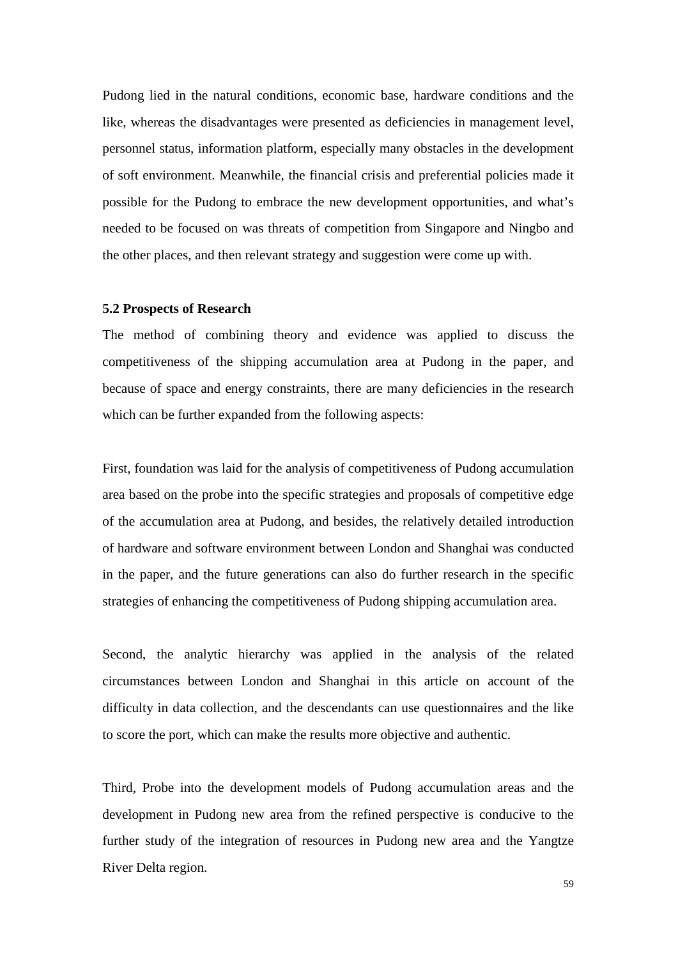Pudong lied in the natural conditions, economic base, hardware conditions and the like, whereas the disadvantages were presented as deficiencies in management level, personnel status, information platform, especially many obstacles in the development of soft environment. Meanwhile, the financial crisis and preferential policies made it possible for the Pudong to embrace the new development opportunities, and what's needed to be focused on was threats of competition from Singapore and Ningbo and the other places, and then relevant strategy and suggestion were come up with.

#### **5.2 Prospects of Research**

The method of combining theory and evidence was applied to discuss the competitiveness of the shipping accumulation area at Pudong in the paper, and because of space and energy constraints, there are many deficiencies in the research which can be further expanded from the following aspects:

First, foundation was laid for the analysis of competitiveness of Pudong accumulation area based on the probe into the specific strategies and proposals of competitive edge of the accumulation area at Pudong, and besides, the relatively detailed introduction of hardware and software environment between London and Shanghai was conducted in the paper, and the future generations can also do further research in the specific strategies of enhancing the competitiveness of Pudong shipping accumulation area.

Second, the analytic hierarchy was applied in the analysis of the related circumstances between London and Shanghai in this article on account of the difficulty in data collection, and the descendants can use questionnaires and the like to score the port, which can make the results more objective and authentic.

Third, Probe into the development models of Pudong accumulation areas and the development in Pudong new area from the refined perspective is conducive to the further study of the integration of resources in Pudong new area and the Yangtze River Delta region.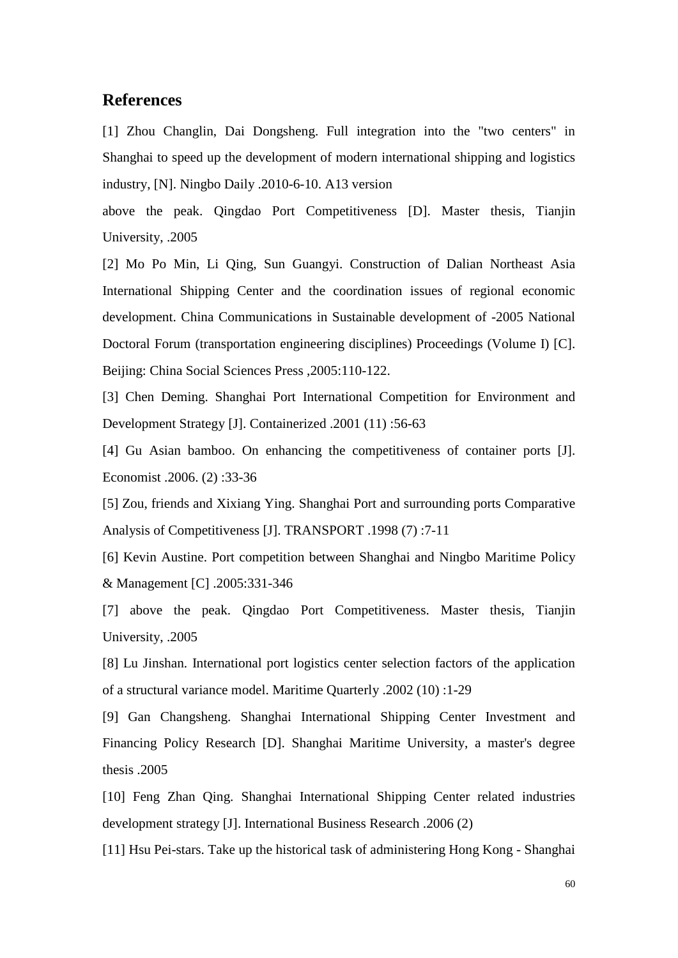#### **References**

[1] Zhou Changlin, Dai Dongsheng. Full integration into the "two centers" in Shanghai to speed up the development of modern international shipping and logistics industry, [N]. Ningbo Daily .2010-6-10. A13 version

above the peak. Qingdao Port Competitiveness [D]. Master thesis, Tianjin University, .2005

[2] Mo Po Min, Li Qing, Sun Guangyi. Construction of Dalian Northeast Asia International Shipping Center and the coordination issues of regional economic development. China Communications in Sustainable development of -2005 National Doctoral Forum (transportation engineering disciplines) Proceedings (Volume I) [C]. Beijing: China Social Sciences Press ,2005:110-122.

[3] Chen Deming. Shanghai Port International Competition for Environment and Development Strategy [J]. Containerized .2001 (11) :56-63

[4] Gu Asian bamboo. On enhancing the competitiveness of container ports [J]. Economist .2006. (2) :33-36

[5] Zou, friends and Xixiang Ying. Shanghai Port and surrounding ports Comparative Analysis of Competitiveness [J]. TRANSPORT .1998 (7) :7-11

[6] Kevin Austine. Port competition between Shanghai and Ningbo Maritime Policy & Management [C] .2005:331-346

[7] above the peak. Qingdao Port Competitiveness. Master thesis, Tianjin University, .2005

[8] Lu Jinshan. International port logistics center selection factors of the application of a structural variance model. Maritime Quarterly .2002 (10) :1-29

[9] Gan Changsheng. Shanghai International Shipping Center Investment and Financing Policy Research [D]. Shanghai Maritime University, a master's degree thesis .2005

[10] Feng Zhan Qing. Shanghai International Shipping Center related industries development strategy [J]. International Business Research .2006 (2)

[11] Hsu Pei-stars. Take up the historical task of administering Hong Kong - Shanghai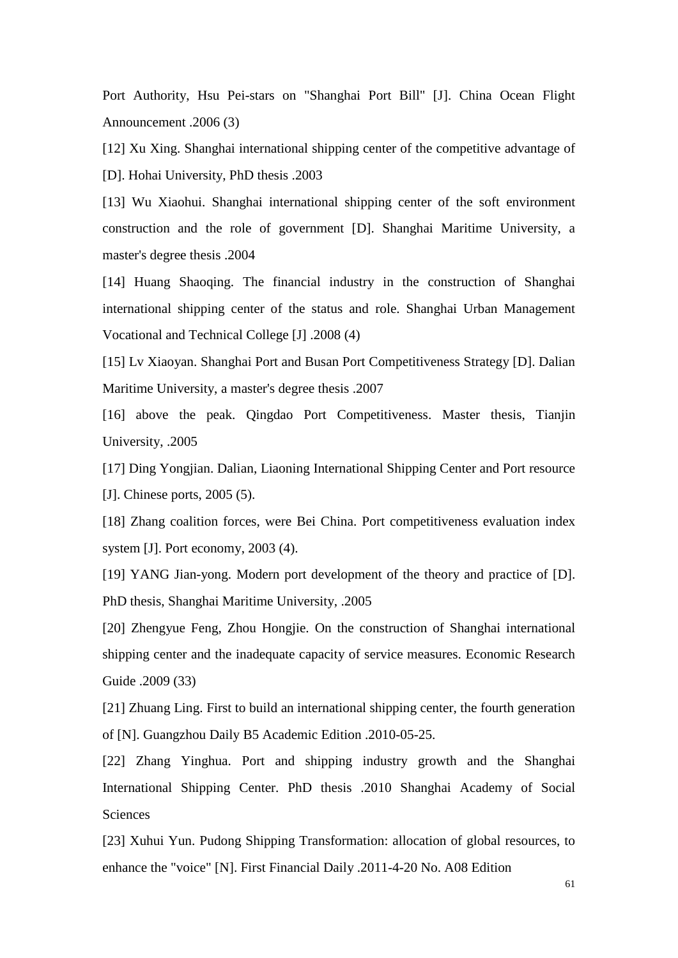Port Authority, Hsu Pei-stars on "Shanghai Port Bill" [J]. China Ocean Flight Announcement .2006 (3)

[12] Xu Xing. Shanghai international shipping center of the competitive advantage of [D]. Hohai University, PhD thesis .2003

[13] Wu Xiaohui. Shanghai international shipping center of the soft environment construction and the role of government [D]. Shanghai Maritime University, a master's degree thesis .2004

[14] Huang Shaoqing. The financial industry in the construction of Shanghai international shipping center of the status and role. Shanghai Urban Management Vocational and Technical College [J] .2008 (4)

[15] Lv Xiaoyan. Shanghai Port and Busan Port Competitiveness Strategy [D]. Dalian Maritime University, a master's degree thesis .2007

[16] above the peak. Qingdao Port Competitiveness. Master thesis, Tianjin University, .2005

[17] Ding Yongjian. Dalian, Liaoning International Shipping Center and Port resource [J]. Chinese ports, 2005 (5).

[18] Zhang coalition forces, were Bei China. Port competitiveness evaluation index system [J]. Port economy, 2003 (4).

[19] YANG Jian-yong. Modern port development of the theory and practice of [D]. PhD thesis, Shanghai Maritime University, .2005

[20] Zhengyue Feng, Zhou Hongjie. On the construction of Shanghai international shipping center and the inadequate capacity of service measures. Economic Research Guide .2009 (33)

[21] Zhuang Ling. First to build an international shipping center, the fourth generation of [N]. Guangzhou Daily B5 Academic Edition .2010-05-25.

[22] Zhang Yinghua. Port and shipping industry growth and the Shanghai International Shipping Center. PhD thesis .2010 Shanghai Academy of Social **Sciences** 

[23] Xuhui Yun. Pudong Shipping Transformation: allocation of global resources, to enhance the "voice" [N]. First Financial Daily .2011-4-20 No. A08 Edition

61